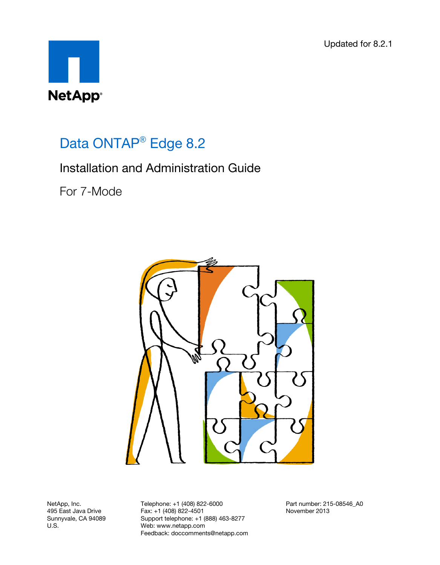Updated for 8.2.1



# Data ONTAP<sup>®</sup> Edge 8.2

# Installation and Administration Guide

For 7-Mode



NetApp, Inc. 495 East Java Drive Sunnyvale, CA 94089 U.S.

Telephone: +1 (408) 822-6000 Fax: +1 (408) 822-4501 Support telephone: +1 (888) 463-8277 Web: www.netapp.com Feedback: doccomments@netapp.com Part number: 215-08546\_A0 November 2013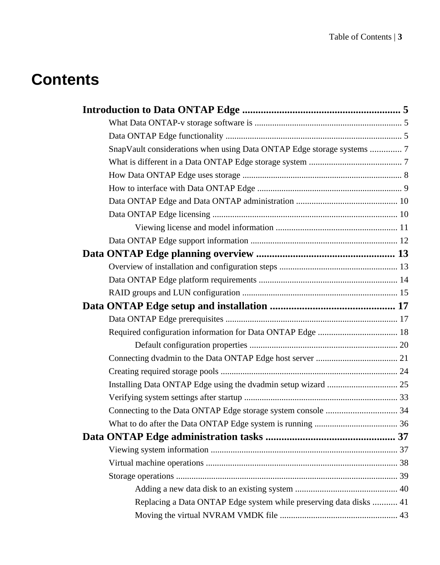# **Contents**

| SnapVault considerations when using Data ONTAP Edge storage systems  7 |  |
|------------------------------------------------------------------------|--|
|                                                                        |  |
|                                                                        |  |
|                                                                        |  |
|                                                                        |  |
|                                                                        |  |
|                                                                        |  |
|                                                                        |  |
|                                                                        |  |
|                                                                        |  |
|                                                                        |  |
|                                                                        |  |
|                                                                        |  |
|                                                                        |  |
|                                                                        |  |
|                                                                        |  |
|                                                                        |  |
|                                                                        |  |
|                                                                        |  |
|                                                                        |  |
|                                                                        |  |
|                                                                        |  |
|                                                                        |  |
|                                                                        |  |
|                                                                        |  |
|                                                                        |  |
|                                                                        |  |
| Replacing a Data ONTAP Edge system while preserving data disks  41     |  |
|                                                                        |  |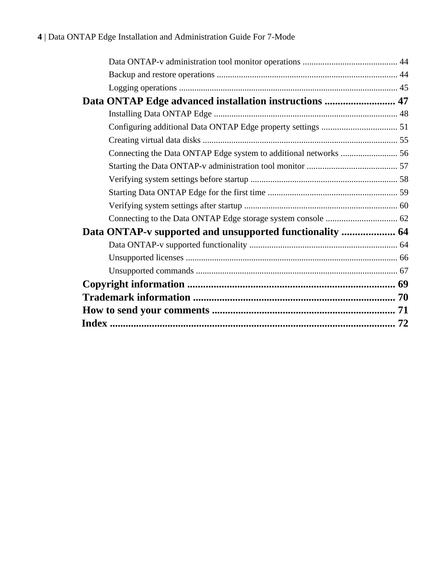| Data ONTAP-v supported and unsupported functionality  64     |  |
|--------------------------------------------------------------|--|
| Connecting to the Data ONTAP Edge storage system console  62 |  |
|                                                              |  |
|                                                              |  |
|                                                              |  |
|                                                              |  |
|                                                              |  |
|                                                              |  |
|                                                              |  |
|                                                              |  |
| Data ONTAP Edge advanced installation instructions  47       |  |
|                                                              |  |
|                                                              |  |
|                                                              |  |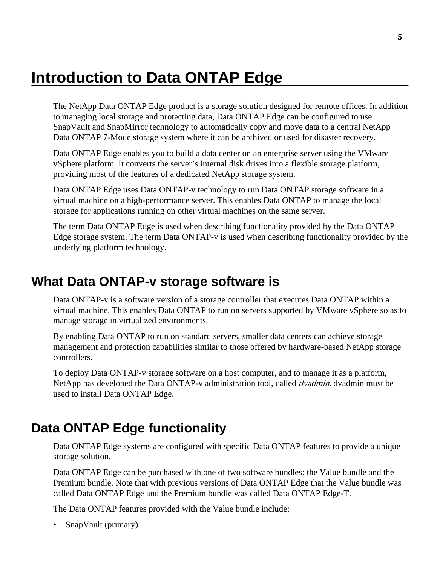# <span id="page-4-0"></span>**Introduction to Data ONTAP Edge**

The NetApp Data ONTAP Edge product is a storage solution designed for remote offices. In addition to managing local storage and protecting data, Data ONTAP Edge can be configured to use SnapVault and SnapMirror technology to automatically copy and move data to a central NetApp Data ONTAP 7-Mode storage system where it can be archived or used for disaster recovery.

Data ONTAP Edge enables you to build a data center on an enterprise server using the VMware vSphere platform. It converts the server's internal disk drives into a flexible storage platform, providing most of the features of a dedicated NetApp storage system.

Data ONTAP Edge uses Data ONTAP-v technology to run Data ONTAP storage software in a virtual machine on a high-performance server. This enables Data ONTAP to manage the local storage for applications running on other virtual machines on the same server.

The term Data ONTAP Edge is used when describing functionality provided by the Data ONTAP Edge storage system. The term Data ONTAP-v is used when describing functionality provided by the underlying platform technology.

## **What Data ONTAP-v storage software is**

Data ONTAP-v is a software version of a storage controller that executes Data ONTAP within a virtual machine. This enables Data ONTAP to run on servers supported by VMware vSphere so as to manage storage in virtualized environments.

By enabling Data ONTAP to run on standard servers, smaller data centers can achieve storage management and protection capabilities similar to those offered by hardware-based NetApp storage controllers.

To deploy Data ONTAP-v storage software on a host computer, and to manage it as a platform, NetApp has developed the Data ONTAP-v administration tool, called *dvadmin*. dvadmin must be used to install Data ONTAP Edge.

# **Data ONTAP Edge functionality**

Data ONTAP Edge systems are configured with specific Data ONTAP features to provide a unique storage solution.

Data ONTAP Edge can be purchased with one of two software bundles: the Value bundle and the Premium bundle. Note that with previous versions of Data ONTAP Edge that the Value bundle was called Data ONTAP Edge and the Premium bundle was called Data ONTAP Edge-T.

The Data ONTAP features provided with the Value bundle include:

• SnapVault (primary)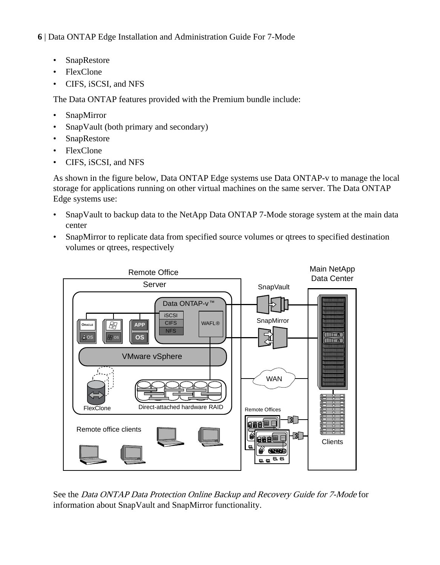- SnapRestore
- FlexClone
- CIFS, iSCSI, and NFS

The Data ONTAP features provided with the Premium bundle include:

- SnapMirror
- SnapVault (both primary and secondary)
- SnapRestore
- FlexClone
- CIFS, iSCSI, and NFS

As shown in the figure below, Data ONTAP Edge systems use Data ONTAP-v to manage the local storage for applications running on other virtual machines on the same server. The Data ONTAP Edge systems use:

- SnapVault to backup data to the NetApp Data ONTAP 7-Mode storage system at the main data center
- SnapMirror to replicate data from specified source volumes or qtrees to specified destination volumes or qtrees, respectively



See the Data ONTAP Data Protection Online Backup and Recovery Guide for 7-Mode for information about SnapVault and SnapMirror functionality.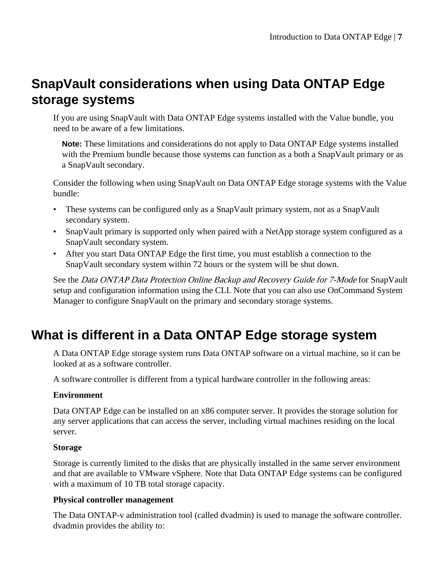# <span id="page-6-0"></span>**SnapVault considerations when using Data ONTAP Edge storage systems**

If you are using SnapVault with Data ONTAP Edge systems installed with the Value bundle, you need to be aware of a few limitations.

Note: These limitations and considerations do not apply to Data ONTAP Edge systems installed with the Premium bundle because those systems can function as a both a SnapVault primary or as a SnapVault secondary.

Consider the following when using SnapVault on Data ONTAP Edge storage systems with the Value bundle:

- These systems can be configured only as a SnapVault primary system, not as a SnapVault secondary system.
- SnapVault primary is supported only when paired with a NetApp storage system configured as a SnapVault secondary system.
- After you start Data ONTAP Edge the first time, you must establish a connection to the SnapVault secondary system within 72 hours or the system will be shut down.

See the *Data ONTAP Data Protection Online Backup and Recovery Guide for 7-Mode* for SnapVault setup and configuration information using the CLI. Note that you can also use OnCommand System Manager to configure SnapVault on the primary and secondary storage systems.

# **What is different in a Data ONTAP Edge storage system**

A Data ONTAP Edge storage system runs Data ONTAP software on a virtual machine, so it can be looked at as a software controller.

A software controller is different from a typical hardware controller in the following areas:

### **Environment**

Data ONTAP Edge can be installed on an x86 computer server. It provides the storage solution for any server applications that can access the server, including virtual machines residing on the local server.

### **Storage**

Storage is currently limited to the disks that are physically installed in the same server environment and that are available to VMware vSphere. Note that Data ONTAP Edge systems can be configured with a maximum of 10 TB total storage capacity.

### **Physical controller management**

The Data ONTAP-v administration tool (called dvadmin) is used to manage the software controller. dvadmin provides the ability to: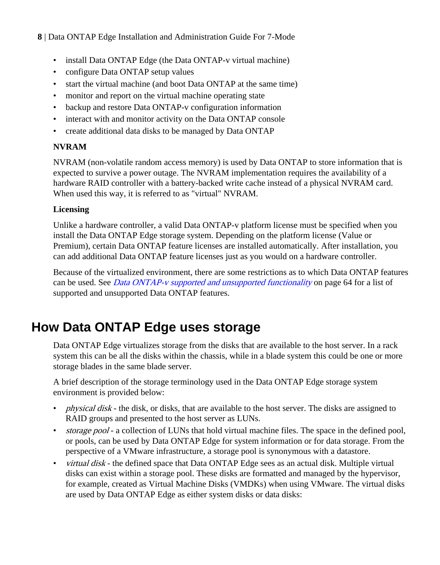- <span id="page-7-0"></span>• install Data ONTAP Edge (the Data ONTAP-v virtual machine)
- configure Data ONTAP setup values
- start the virtual machine (and boot Data ONTAP at the same time)
- monitor and report on the virtual machine operating state
- backup and restore Data ONTAP-v configuration information
- interact with and monitor activity on the Data ONTAP console
- create additional data disks to be managed by Data ONTAP

### **NVRAM**

NVRAM (non-volatile random access memory) is used by Data ONTAP to store information that is expected to survive a power outage. The NVRAM implementation requires the availability of a hardware RAID controller with a battery-backed write cache instead of a physical NVRAM card. When used this way, it is referred to as "virtual" NVRAM.

### **Licensing**

Unlike a hardware controller, a valid Data ONTAP-v platform license must be specified when you install the Data ONTAP Edge storage system. Depending on the platform license (Value or Premium), certain Data ONTAP feature licenses are installed automatically. After installation, you can add additional Data ONTAP feature licenses just as you would on a hardware controller.

Because of the virtualized environment, there are some restrictions as to which Data ONTAP features can be used. See *[Data ONTAP-v supported and unsupported functionality](#page-63-0)* on page 64 for a list of supported and unsupported Data ONTAP features.

# **How Data ONTAP Edge uses storage**

Data ONTAP Edge virtualizes storage from the disks that are available to the host server. In a rack system this can be all the disks within the chassis, while in a blade system this could be one or more storage blades in the same blade server.

A brief description of the storage terminology used in the Data ONTAP Edge storage system environment is provided below:

- *physical disk* the disk, or disks, that are available to the host server. The disks are assigned to RAID groups and presented to the host server as LUNs.
- storage pool a collection of LUNs that hold virtual machine files. The space in the defined pool, or pools, can be used by Data ONTAP Edge for system information or for data storage. From the perspective of a VMware infrastructure, a storage pool is synonymous with a datastore.
- *virtual disk* the defined space that Data ONTAP Edge sees as an actual disk. Multiple virtual disks can exist within a storage pool. These disks are formatted and managed by the hypervisor, for example, created as Virtual Machine Disks (VMDKs) when using VMware. The virtual disks are used by Data ONTAP Edge as either system disks or data disks: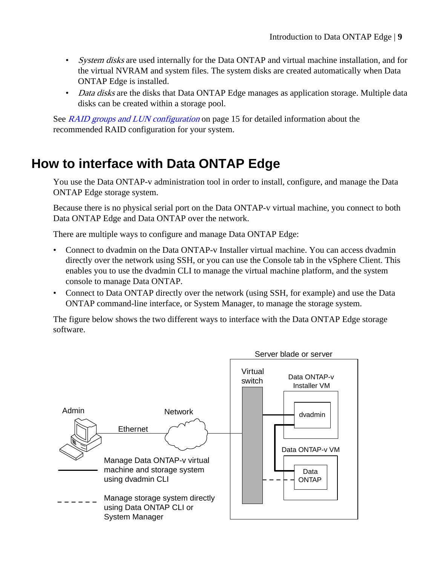- <span id="page-8-0"></span>• System disks are used internally for the Data ONTAP and virtual machine installation, and for the virtual NVRAM and system files. The system disks are created automatically when Data ONTAP Edge is installed.
- Data disks are the disks that Data ONTAP Edge manages as application storage. Multiple data disks can be created within a storage pool.

See [RAID groups and LUN configuration](#page-14-0) on page 15 for detailed information about the recommended RAID configuration for your system.

# **How to interface with Data ONTAP Edge**

You use the Data ONTAP-v administration tool in order to install, configure, and manage the Data ONTAP Edge storage system.

Because there is no physical serial port on the Data ONTAP-v virtual machine, you connect to both Data ONTAP Edge and Data ONTAP over the network.

There are multiple ways to configure and manage Data ONTAP Edge:

- Connect to dvadmin on the Data ONTAP-v Installer virtual machine. You can access dvadmin directly over the network using SSH, or you can use the Console tab in the vSphere Client. This enables you to use the dvadmin CLI to manage the virtual machine platform, and the system console to manage Data ONTAP.
- Connect to Data ONTAP directly over the network (using SSH, for example) and use the Data ONTAP command-line interface, or System Manager, to manage the storage system.

The figure below shows the two different ways to interface with the Data ONTAP Edge storage software.

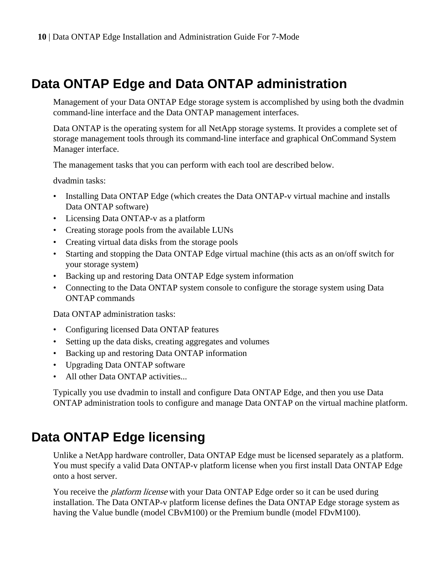# <span id="page-9-0"></span>**Data ONTAP Edge and Data ONTAP administration**

Management of your Data ONTAP Edge storage system is accomplished by using both the dvadmin command-line interface and the Data ONTAP management interfaces.

Data ONTAP is the operating system for all NetApp storage systems. It provides a complete set of storage management tools through its command-line interface and graphical OnCommand System Manager interface.

The management tasks that you can perform with each tool are described below.

dvadmin tasks:

- Installing Data ONTAP Edge (which creates the Data ONTAP-v virtual machine and installs Data ONTAP software)
- Licensing Data ONTAP-v as a platform
- Creating storage pools from the available LUNs
- Creating virtual data disks from the storage pools
- Starting and stopping the Data ONTAP Edge virtual machine (this acts as an on/off switch for your storage system)
- Backing up and restoring Data ONTAP Edge system information
- Connecting to the Data ONTAP system console to configure the storage system using Data ONTAP commands

Data ONTAP administration tasks:

- Configuring licensed Data ONTAP features
- Setting up the data disks, creating aggregates and volumes
- Backing up and restoring Data ONTAP information
- Upgrading Data ONTAP software
- All other Data ONTAP activities...

Typically you use dvadmin to install and configure Data ONTAP Edge, and then you use Data ONTAP administration tools to configure and manage Data ONTAP on the virtual machine platform.

## **Data ONTAP Edge licensing**

Unlike a NetApp hardware controller, Data ONTAP Edge must be licensed separately as a platform. You must specify a valid Data ONTAP-v platform license when you first install Data ONTAP Edge onto a host server.

You receive the *platform license* with your Data ONTAP Edge order so it can be used during installation. The Data ONTAP-v platform license defines the Data ONTAP Edge storage system as having the Value bundle (model CBvM100) or the Premium bundle (model FDvM100).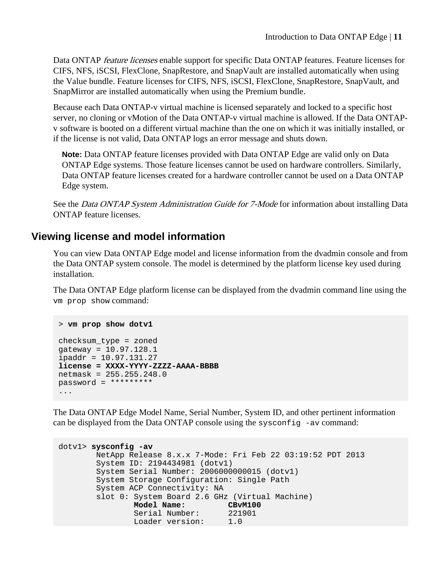<span id="page-10-0"></span>Data ONTAP feature licenses enable support for specific Data ONTAP features. Feature licenses for CIFS, NFS, iSCSI, FlexClone, SnapRestore, and SnapVault are installed automatically when using the Value bundle. Feature licenses for CIFS, NFS, iSCSI, FlexClone, SnapRestore, SnapVault, and SnapMirror are installed automatically when using the Premium bundle.

Because each Data ONTAP-v virtual machine is licensed separately and locked to a specific host server, no cloning or vMotion of the Data ONTAP-v virtual machine is allowed. If the Data ONTAPv software is booted on a different virtual machine than the one on which it was initially installed, or if the license is not valid, Data ONTAP logs an error message and shuts down.

**Note:** Data ONTAP feature licenses provided with Data ONTAP Edge are valid only on Data ONTAP Edge systems. Those feature licenses cannot be used on hardware controllers. Similarly, Data ONTAP feature licenses created for a hardware controller cannot be used on a Data ONTAP Edge system.

See the *Data ONTAP System Administration Guide for 7-Mode* for information about installing Data ONTAP feature licenses.

### **Viewing license and model information**

You can view Data ONTAP Edge model and license information from the dvadmin console and from the Data ONTAP system console. The model is determined by the platform license key used during installation.

The Data ONTAP Edge platform license can be displayed from the dvadmin command line using the vm prop show command:

```
> vm prop show dotv1
checksum_type = zoned
gateway = 10.97.128.1
ipaddr = 10.97.131.27
license = XXXX-YYYY-ZZZZ-AAAA-BBBB
netmask = 255.255.248.0
password = *********
...
```
The Data ONTAP Edge Model Name, Serial Number, System ID, and other pertinent information can be displayed from the Data ONTAP console using the sysconfig -av command:

```
dotv1> sysconfig -av
        NetApp Release 8.x.x 7-Mode: Fri Feb 22 03:19:52 PDT 2013
        System ID: 2194434981 (dotv1)
        System Serial Number: 2006000000015 (dotv1)
        System Storage Configuration: Single Path
        System ACP Connectivity: NA
        slot 0: System Board 2.6 GHz (Virtual Machine)
               Model Name: CBvM100<br>Serial Number: 221901
Serial Number: 221901
 Loader version: 1.0
```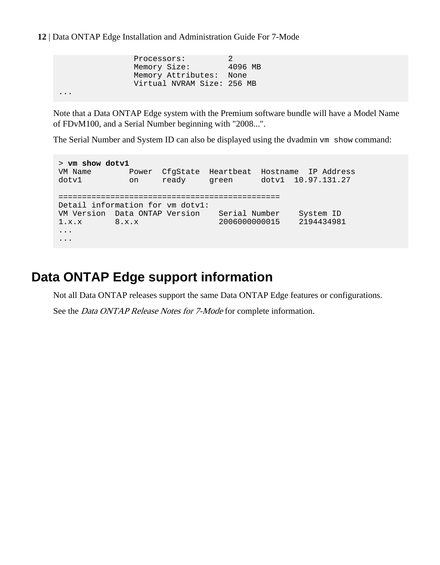<span id="page-11-0"></span>...

```
Processors: 2
Memory Size: 4096 MB
 Memory Attributes: None
 Virtual NVRAM Size: 256 MB
```
Note that a Data ONTAP Edge system with the Premium software bundle will have a Model Name of FDvM100, and a Serial Number beginning with "2008...".

The Serial Number and System ID can also be displayed using the dvadmin  $v_{m}$  show command:

> **vm show dotv1** VM Name Power CfgState Heartbeat Hostname IP Address dotv1 on ready green dotv1 10.97.131.27 =============================================== Detail information for vm dotv1: VM Version Data ONTAP Version Serial Number System ID 1.x.x 8.x.x 2006000000015 2194434981 ... ...

# **Data ONTAP Edge support information**

Not all Data ONTAP releases support the same Data ONTAP Edge features or configurations.

See the *Data ONTAP Release Notes for 7-Mode* for complete information.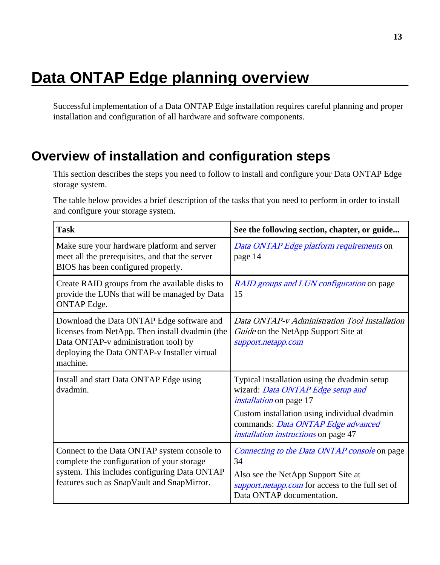# <span id="page-12-0"></span>**Data ONTAP Edge planning overview**

Successful implementation of a Data ONTAP Edge installation requires careful planning and proper installation and configuration of all hardware and software components.

# **Overview of installation and configuration steps**

This section describes the steps you need to follow to install and configure your Data ONTAP Edge storage system.

The table below provides a brief description of the tasks that you need to perform in order to install and configure your storage system.

| Task                                                                                                                                                                                             | See the following section, chapter, or guide                                                                                                                                                                                                             |
|--------------------------------------------------------------------------------------------------------------------------------------------------------------------------------------------------|----------------------------------------------------------------------------------------------------------------------------------------------------------------------------------------------------------------------------------------------------------|
| Make sure your hardware platform and server<br>meet all the prerequisites, and that the server<br>BIOS has been configured properly.                                                             | Data ONTAP Edge platform requirements on<br>page 14                                                                                                                                                                                                      |
| Create RAID groups from the available disks to<br>provide the LUNs that will be managed by Data<br><b>ONTAP</b> Edge.                                                                            | RAID groups and LUN configuration on page<br>15                                                                                                                                                                                                          |
| Download the Data ONTAP Edge software and<br>licenses from NetApp. Then install dvadmin (the<br>Data ONTAP-v administration tool) by<br>deploying the Data ONTAP-v Installer virtual<br>machine. | Data ONTAP-v Administration Tool Installation<br>Guide on the NetApp Support Site at<br>support.netapp.com                                                                                                                                               |
| Install and start Data ONTAP Edge using<br>dvadmin.                                                                                                                                              | Typical installation using the dvadmin setup<br>wizard: Data ONTAP Edge setup and<br><i>installation</i> on page 17<br>Custom installation using individual dvadmin<br>commands: Data ONTAP Edge advanced<br><i>installation instructions</i> on page 47 |
| Connect to the Data ONTAP system console to<br>complete the configuration of your storage<br>system. This includes configuring Data ONTAP<br>features such as SnapVault and SnapMirror.          | Connecting to the Data ONTAP console on page<br>34<br>Also see the NetApp Support Site at<br>support.netapp.com for access to the full set of<br>Data ONTAP documentation.                                                                               |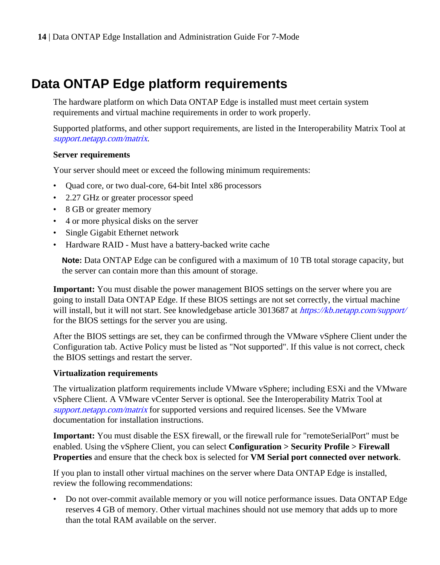# <span id="page-13-0"></span>**Data ONTAP Edge platform requirements**

The hardware platform on which Data ONTAP Edge is installed must meet certain system requirements and virtual machine requirements in order to work properly.

Supported platforms, and other support requirements, are listed in the Interoperability Matrix Tool at [support.netapp.com/matrix](http://support.netapp.com/matrix).

### **Server requirements**

Your server should meet or exceed the following minimum requirements:

- Quad core, or two dual-core, 64-bit Intel x86 processors
- 2.27 GHz or greater processor speed
- 8 GB or greater memory
- 4 or more physical disks on the server
- Single Gigabit Ethernet network
- Hardware RAID Must have a battery-backed write cache

**Note:** Data ONTAP Edge can be configured with a maximum of 10 TB total storage capacity, but the server can contain more than this amount of storage.

**Important:** You must disable the power management BIOS settings on the server where you are going to install Data ONTAP Edge. If these BIOS settings are not set correctly, the virtual machine will install, but it will not start. See knowledgebase article 3013687 at *<https://kb.netapp.com/support/>* for the BIOS settings for the server you are using.

After the BIOS settings are set, they can be confirmed through the VMware vSphere Client under the Configuration tab. Active Policy must be listed as "Not supported". If this value is not correct, check the BIOS settings and restart the server.

### **Virtualization requirements**

The virtualization platform requirements include VMware vSphere; including ESXi and the VMware vSphere Client. A VMware vCenter Server is optional. See the Interoperability Matrix Tool at [support.netapp.com/matrix](http://support.netapp.com/matrix) for supported versions and required licenses. See the VMware documentation for installation instructions.

**Important:** You must disable the ESX firewall, or the firewall rule for "remoteSerialPort" must be enabled. Using the vSphere Client, you can select **Configuration > Security Profile > Firewall Properties** and ensure that the check box is selected for **VM Serial port connected over network**.

If you plan to install other virtual machines on the server where Data ONTAP Edge is installed, review the following recommendations:

• Do not over-commit available memory or you will notice performance issues. Data ONTAP Edge reserves 4 GB of memory. Other virtual machines should not use memory that adds up to more than the total RAM available on the server.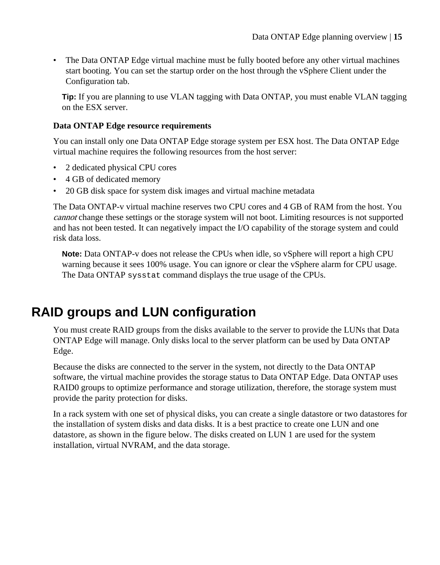<span id="page-14-0"></span>• The Data ONTAP Edge virtual machine must be fully booted before any other virtual machines start booting. You can set the startup order on the host through the vSphere Client under the Configuration tab.

**Tip:** If you are planning to use VLAN tagging with Data ONTAP, you must enable VLAN tagging on the ESX server.

### **Data ONTAP Edge resource requirements**

You can install only one Data ONTAP Edge storage system per ESX host. The Data ONTAP Edge virtual machine requires the following resources from the host server:

- 2 dedicated physical CPU cores
- 4 GB of dedicated memory
- 20 GB disk space for system disk images and virtual machine metadata

The Data ONTAP-v virtual machine reserves two CPU cores and 4 GB of RAM from the host. You cannot change these settings or the storage system will not boot. Limiting resources is not supported and has not been tested. It can negatively impact the I/O capability of the storage system and could risk data loss.

**Note:** Data ONTAP-v does not release the CPUs when idle, so vSphere will report a high CPU warning because it sees 100% usage. You can ignore or clear the vSphere alarm for CPU usage. The Data ONTAP sysstat command displays the true usage of the CPUs.

# **RAID groups and LUN configuration**

You must create RAID groups from the disks available to the server to provide the LUNs that Data ONTAP Edge will manage. Only disks local to the server platform can be used by Data ONTAP Edge.

Because the disks are connected to the server in the system, not directly to the Data ONTAP software, the virtual machine provides the storage status to Data ONTAP Edge. Data ONTAP uses RAID0 groups to optimize performance and storage utilization, therefore, the storage system must provide the parity protection for disks.

In a rack system with one set of physical disks, you can create a single datastore or two datastores for the installation of system disks and data disks. It is a best practice to create one LUN and one datastore, as shown in the figure below. The disks created on LUN 1 are used for the system installation, virtual NVRAM, and the data storage.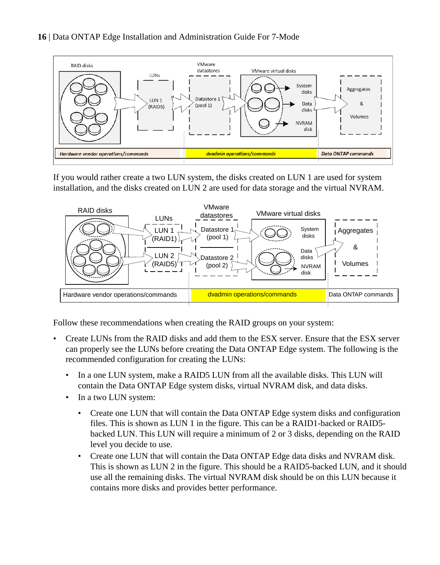

If you would rather create a two LUN system, the disks created on LUN 1 are used for system installation, and the disks created on LUN 2 are used for data storage and the virtual NVRAM.



Follow these recommendations when creating the RAID groups on your system:

- Create LUNs from the RAID disks and add them to the ESX server. Ensure that the ESX server can properly see the LUNs before creating the Data ONTAP Edge system. The following is the recommended configuration for creating the LUNs:
	- In a one LUN system, make a RAID5 LUN from all the available disks. This LUN will contain the Data ONTAP Edge system disks, virtual NVRAM disk, and data disks.
	- In a two LUN system:
		- Create one LUN that will contain the Data ONTAP Edge system disks and configuration files. This is shown as LUN 1 in the figure. This can be a RAID1-backed or RAID5 backed LUN. This LUN will require a minimum of 2 or 3 disks, depending on the RAID level you decide to use.
		- Create one LUN that will contain the Data ONTAP Edge data disks and NVRAM disk. This is shown as LUN 2 in the figure. This should be a RAID5-backed LUN, and it should use all the remaining disks. The virtual NVRAM disk should be on this LUN because it contains more disks and provides better performance.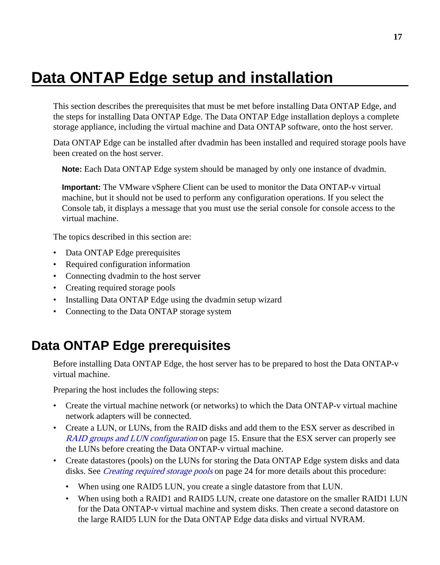# <span id="page-16-0"></span>**Data ONTAP Edge setup and installation**

This section describes the prerequisites that must be met before installing Data ONTAP Edge, and the steps for installing Data ONTAP Edge. The Data ONTAP Edge installation deploys a complete storage appliance, including the virtual machine and Data ONTAP software, onto the host server.

Data ONTAP Edge can be installed after dvadmin has been installed and required storage pools have been created on the host server.

**Note:** Each Data ONTAP Edge system should be managed by only one instance of dvadmin.

**Important:** The VMware vSphere Client can be used to monitor the Data ONTAP-v virtual machine, but it should not be used to perform any configuration operations. If you select the Console tab, it displays a message that you must use the serial console for console access to the virtual machine.

The topics described in this section are:

- Data ONTAP Edge prerequisites
- Required configuration information
- Connecting dvadmin to the host server
- Creating required storage pools
- Installing Data ONTAP Edge using the dvadmin setup wizard
- Connecting to the Data ONTAP storage system

## **Data ONTAP Edge prerequisites**

Before installing Data ONTAP Edge, the host server has to be prepared to host the Data ONTAP-v virtual machine.

Preparing the host includes the following steps:

- Create the virtual machine network (or networks) to which the Data ONTAP-v virtual machine network adapters will be connected.
- Create a LUN, or LUNs, from the RAID disks and add them to the ESX server as described in [RAID groups and LUN configuration](#page-14-0) on page 15. Ensure that the ESX server can properly see the LUNs before creating the Data ONTAP-v virtual machine.
- Create datastores (pools) on the LUNs for storing the Data ONTAP Edge system disks and data disks. See *[Creating required storage pools](#page-23-0)* on page 24 for more details about this procedure:
	- When using one RAID5 LUN, you create a single datastore from that LUN.
	- When using both a RAID1 and RAID5 LUN, create one datastore on the smaller RAID1 LUN for the Data ONTAP-v virtual machine and system disks. Then create a second datastore on the large RAID5 LUN for the Data ONTAP Edge data disks and virtual NVRAM.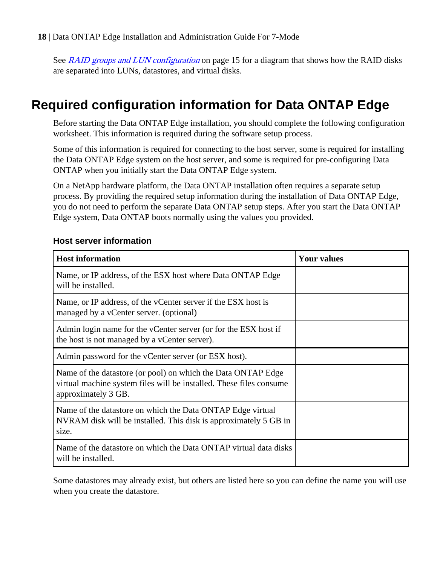<span id="page-17-0"></span>See [RAID groups and LUN configuration](#page-14-0) on page 15 for a diagram that shows how the RAID disks are separated into LUNs, datastores, and virtual disks.

# **Required configuration information for Data ONTAP Edge**

Before starting the Data ONTAP Edge installation, you should complete the following configuration worksheet. This information is required during the software setup process.

Some of this information is required for connecting to the host server, some is required for installing the Data ONTAP Edge system on the host server, and some is required for pre-configuring Data ONTAP when you initially start the Data ONTAP Edge system.

On a NetApp hardware platform, the Data ONTAP installation often requires a separate setup process. By providing the required setup information during the installation of Data ONTAP Edge, you do not need to perform the separate Data ONTAP setup steps. After you start the Data ONTAP Edge system, Data ONTAP boots normally using the values you provided.

| <b>Host information</b>                                                                                                                                    | <b>Your values</b> |
|------------------------------------------------------------------------------------------------------------------------------------------------------------|--------------------|
| Name, or IP address, of the ESX host where Data ONTAP Edge<br>will be installed.                                                                           |                    |
| Name, or IP address, of the vCenter server if the ESX host is<br>managed by a vCenter server. (optional)                                                   |                    |
| Admin login name for the vCenter server (or for the ESX host if<br>the host is not managed by a vCenter server).                                           |                    |
| Admin password for the vCenter server (or ESX host).                                                                                                       |                    |
| Name of the datastore (or pool) on which the Data ONTAP Edge<br>virtual machine system files will be installed. These files consume<br>approximately 3 GB. |                    |
| Name of the datastore on which the Data ONTAP Edge virtual<br>NVRAM disk will be installed. This disk is approximately 5 GB in<br>size.                    |                    |
| Name of the datastore on which the Data ONTAP virtual data disks<br>will be installed.                                                                     |                    |

### **Host server information**

Some datastores may already exist, but others are listed here so you can define the name you will use when you create the datastore.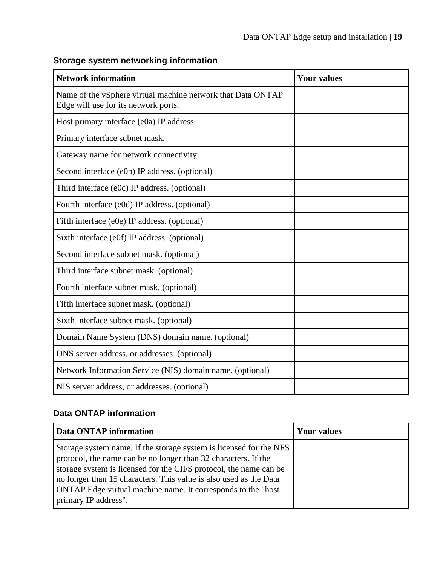| <b>Network information</b>                                                                          | <b>Your values</b> |
|-----------------------------------------------------------------------------------------------------|--------------------|
| Name of the vSphere virtual machine network that Data ONTAP<br>Edge will use for its network ports. |                    |
| Host primary interface (e0a) IP address.                                                            |                    |
| Primary interface subnet mask.                                                                      |                    |
| Gateway name for network connectivity.                                                              |                    |
| Second interface (e0b) IP address. (optional)                                                       |                    |
| Third interface (e0c) IP address. (optional)                                                        |                    |
| Fourth interface (e0d) IP address. (optional)                                                       |                    |
| Fifth interface (e0e) IP address. (optional)                                                        |                    |
| Sixth interface (e0f) IP address. (optional)                                                        |                    |
| Second interface subnet mask. (optional)                                                            |                    |
| Third interface subnet mask. (optional)                                                             |                    |
| Fourth interface subnet mask. (optional)                                                            |                    |
| Fifth interface subnet mask. (optional)                                                             |                    |
| Sixth interface subnet mask. (optional)                                                             |                    |
| Domain Name System (DNS) domain name. (optional)                                                    |                    |
| DNS server address, or addresses. (optional)                                                        |                    |
| Network Information Service (NIS) domain name. (optional)                                           |                    |
| NIS server address, or addresses. (optional)                                                        |                    |

### **Storage system networking information**

### **Data ONTAP information**

| Data ONTAP information                                                                                                                                                                                                                                                                                                                                                  | Your values |
|-------------------------------------------------------------------------------------------------------------------------------------------------------------------------------------------------------------------------------------------------------------------------------------------------------------------------------------------------------------------------|-------------|
| Storage system name. If the storage system is licensed for the NFS<br>protocol, the name can be no longer than 32 characters. If the<br>storage system is licensed for the CIFS protocol, the name can be<br>no longer than 15 characters. This value is also used as the Data<br>ONTAP Edge virtual machine name. It corresponds to the "host"<br>primary IP address". |             |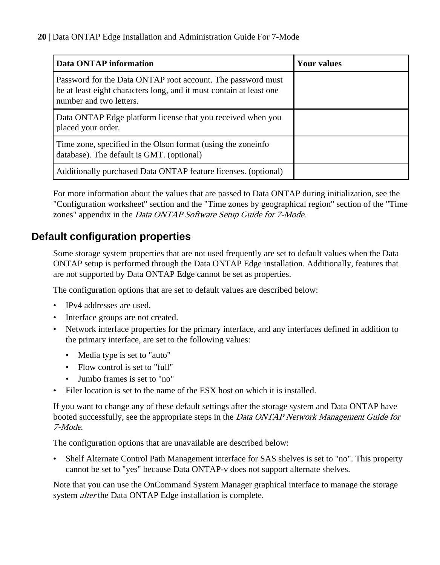<span id="page-19-0"></span>

| Data ONTAP information                                                                                                                                        | <b>Your values</b> |
|---------------------------------------------------------------------------------------------------------------------------------------------------------------|--------------------|
| Password for the Data ONTAP root account. The password must<br>be at least eight characters long, and it must contain at least one<br>number and two letters. |                    |
| Data ONTAP Edge platform license that you received when you<br>placed your order.                                                                             |                    |
| Time zone, specified in the Olson format (using the zoneinfo<br>database). The default is GMT. (optional)                                                     |                    |
| Additionally purchased Data ONTAP feature licenses. (optional)                                                                                                |                    |

For more information about the values that are passed to Data ONTAP during initialization, see the "Configuration worksheet" section and the "Time zones by geographical region" section of the "Time zones" appendix in the Data ONTAP Software Setup Guide for 7-Mode.

### **Default configuration properties**

Some storage system properties that are not used frequently are set to default values when the Data ONTAP setup is performed through the Data ONTAP Edge installation. Additionally, features that are not supported by Data ONTAP Edge cannot be set as properties.

The configuration options that are set to default values are described below:

- IPv4 addresses are used.
- Interface groups are not created.
- Network interface properties for the primary interface, and any interfaces defined in addition to the primary interface, are set to the following values:
	- Media type is set to "auto"
	- Flow control is set to "full"
	- Jumbo frames is set to "no"
- Filer location is set to the name of the ESX host on which it is installed.

If you want to change any of these default settings after the storage system and Data ONTAP have booted successfully, see the appropriate steps in the *Data ONTAP Network Management Guide for* 7-Mode.

The configuration options that are unavailable are described below:

• Shelf Alternate Control Path Management interface for SAS shelves is set to "no". This property cannot be set to "yes" because Data ONTAP-v does not support alternate shelves.

Note that you can use the OnCommand System Manager graphical interface to manage the storage system after the Data ONTAP Edge installation is complete.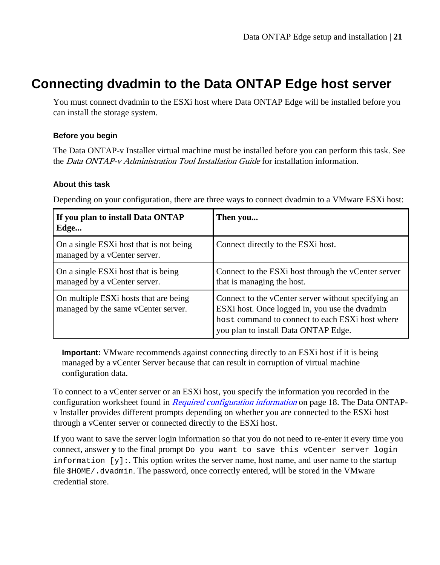# <span id="page-20-0"></span>**Connecting dvadmin to the Data ONTAP Edge host server**

You must connect dvadmin to the ESXi host where Data ONTAP Edge will be installed before you can install the storage system.

### **Before you begin**

The Data ONTAP-v Installer virtual machine must be installed before you can perform this task. See the Data ONTAP-v Administration Tool Installation Guide for installation information.

### **About this task**

Depending on your configuration, there are three ways to connect dvadmin to a VMware ESXi host:

| If you plan to install Data ONTAP<br>Edge                                    | Then you                                                                                                                                                                                         |
|------------------------------------------------------------------------------|--------------------------------------------------------------------------------------------------------------------------------------------------------------------------------------------------|
| On a single ESXi host that is not being<br>managed by a vCenter server.      | Connect directly to the ESXi host.                                                                                                                                                               |
| On a single ESXi host that is being<br>managed by a vCenter server.          | Connect to the ESXi host through the vCenter server<br>that is managing the host.                                                                                                                |
| On multiple ESXi hosts that are being<br>managed by the same vCenter server. | Connect to the vCenter server without specifying an<br>ESXi host. Once logged in, you use the dvadmin<br>host command to connect to each ESXi host where<br>you plan to install Data ONTAP Edge. |

**Important:** VMware recommends against connecting directly to an ESXi host if it is being managed by a vCenter Server because that can result in corruption of virtual machine configuration data.

To connect to a vCenter server or an ESXi host, you specify the information you recorded in the configuration worksheet found in *[Required configuration information](#page-17-0)* on page 18. The Data ONTAPv Installer provides different prompts depending on whether you are connected to the ESXi host through a vCenter server or connected directly to the ESXi host.

If you want to save the server login information so that you do not need to re-enter it every time you connect, answer **y** to the final prompt Do you want to save this vCenter server login information  $[y]$ : This option writes the server name, host name, and user name to the startup file \$HOME/.dvadmin. The password, once correctly entered, will be stored in the VMware credential store.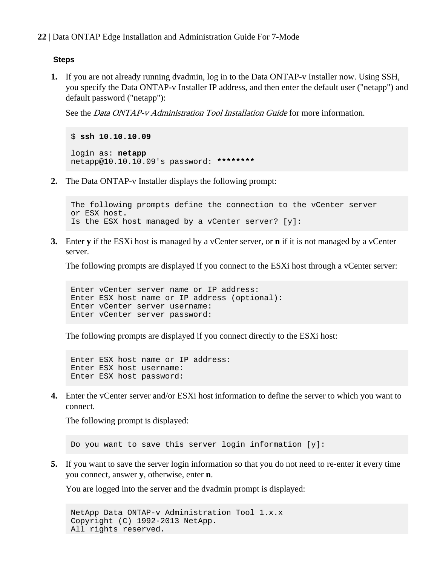### **Steps**

**1.** If you are not already running dvadmin, log in to the Data ONTAP-v Installer now. Using SSH, you specify the Data ONTAP-v Installer IP address, and then enter the default user ("netapp") and default password ("netapp"):

See the *Data ONTAP-v Administration Tool Installation Guide* for more information.

```
$ ssh 10.10.10.09
login as: netapp
netapp@10.10.10.09's password: ********
```
**2.** The Data ONTAP-v Installer displays the following prompt:

```
The following prompts define the connection to the vCenter server
or ESX host. 
Is the ESX host managed by a vCenter server? [y]:
```
**3.** Enter **y** if the ESXi host is managed by a vCenter server, or **n** if it is not managed by a vCenter server.

The following prompts are displayed if you connect to the ESXi host through a vCenter server:

Enter vCenter server name or IP address: Enter ESX host name or IP address (optional): Enter vCenter server username: Enter vCenter server password:

The following prompts are displayed if you connect directly to the ESXi host:

Enter ESX host name or IP address: Enter ESX host username: Enter ESX host password:

**4.** Enter the vCenter server and/or ESXi host information to define the server to which you want to connect.

The following prompt is displayed:

Do you want to save this server login information [y]:

**5.** If you want to save the server login information so that you do not need to re-enter it every time you connect, answer **y**, otherwise, enter **n**.

You are logged into the server and the dvadmin prompt is displayed:

```
NetApp Data ONTAP-v Administration Tool 1.x.x
Copyright (C) 1992-2013 NetApp.
All rights reserved.
```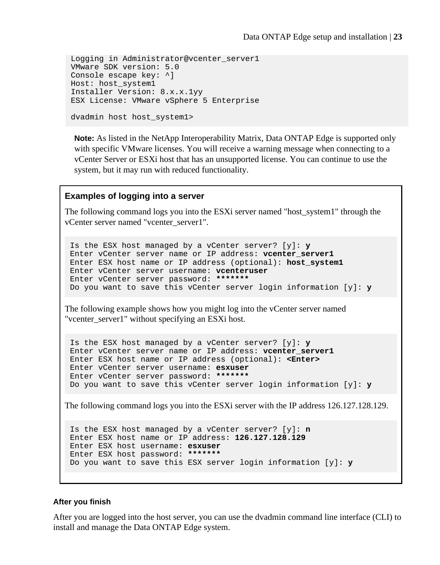```
Logging in Administrator@vcenter_server1
VMware SDK version: 5.0
Console escape key: ^]
Host: host_system1
Installer Version: 8.x.x.1yy
ESX License: VMware vSphere 5 Enterprise
dvadmin host host_system1>
```
**Note:** As listed in the NetApp Interoperability Matrix, Data ONTAP Edge is supported only with specific VMware licenses. You will receive a warning message when connecting to a vCenter Server or ESXi host that has an unsupported license. You can continue to use the system, but it may run with reduced functionality.

### **Examples of logging into a server**

The following command logs you into the ESXi server named "host\_system1" through the vCenter server named "vcenter\_server1".

Is the ESX host managed by a vCenter server? [y]: **y** Enter vCenter server name or IP address: **vcenter\_server1** Enter ESX host name or IP address (optional): **host\_system1** Enter vCenter server username: **vcenteruser** Enter vCenter server password: **\*\*\*\*\*\*\*** Do you want to save this vCenter server login information [y]: **y**

The following example shows how you might log into the vCenter server named "vcenter\_server1" without specifying an ESXi host.

Is the ESX host managed by a vCenter server? [y]: **y** Enter vCenter server name or IP address: **vcenter\_server1** Enter ESX host name or IP address (optional): **<Enter>** Enter vCenter server username: **esxuser** Enter vCenter server password: **\*\*\*\*\*\*\*** Do you want to save this vCenter server login information [y]: **y**

The following command logs you into the ESXi server with the IP address 126.127.128.129.

```
Is the ESX host managed by a vCenter server? [y]: n
Enter ESX host name or IP address: 126.127.128.129
Enter ESX host username: esxuser
Enter ESX host password: *******
Do you want to save this ESX server login information [y]: y
```
### **After you finish**

After you are logged into the host server, you can use the dvadmin command line interface (CLI) to install and manage the Data ONTAP Edge system.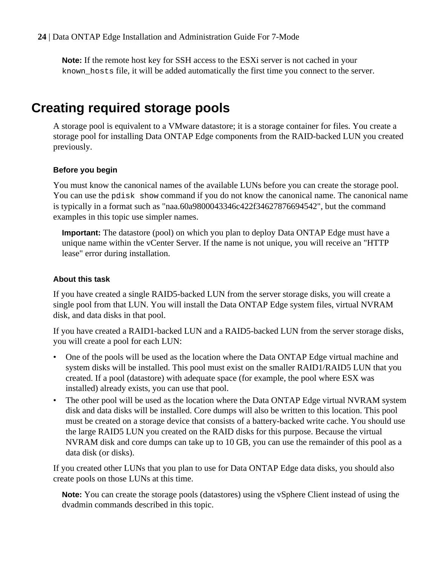<span id="page-23-0"></span>**Note:** If the remote host key for SSH access to the ESXi server is not cached in your known\_hosts file, it will be added automatically the first time you connect to the server.

# **Creating required storage pools**

A storage pool is equivalent to a VMware datastore; it is a storage container for files. You create a storage pool for installing Data ONTAP Edge components from the RAID-backed LUN you created previously.

### **Before you begin**

You must know the canonical names of the available LUNs before you can create the storage pool. You can use the pdisk show command if you do not know the canonical name. The canonical name is typically in a format such as "naa.60a9800043346c422f34627876694542", but the command examples in this topic use simpler names.

**Important:** The datastore (pool) on which you plan to deploy Data ONTAP Edge must have a unique name within the vCenter Server. If the name is not unique, you will receive an "HTTP lease" error during installation.

### **About this task**

If you have created a single RAID5-backed LUN from the server storage disks, you will create a single pool from that LUN. You will install the Data ONTAP Edge system files, virtual NVRAM disk, and data disks in that pool.

If you have created a RAID1-backed LUN and a RAID5-backed LUN from the server storage disks, you will create a pool for each LUN:

- One of the pools will be used as the location where the Data ONTAP Edge virtual machine and system disks will be installed. This pool must exist on the smaller RAID1/RAID5 LUN that you created. If a pool (datastore) with adequate space (for example, the pool where ESX was installed) already exists, you can use that pool.
- The other pool will be used as the location where the Data ONTAP Edge virtual NVRAM system disk and data disks will be installed. Core dumps will also be written to this location. This pool must be created on a storage device that consists of a battery-backed write cache. You should use the large RAID5 LUN you created on the RAID disks for this purpose. Because the virtual NVRAM disk and core dumps can take up to 10 GB, you can use the remainder of this pool as a data disk (or disks).

If you created other LUNs that you plan to use for Data ONTAP Edge data disks, you should also create pools on those LUNs at this time.

**Note:** You can create the storage pools (datastores) using the vSphere Client instead of using the dvadmin commands described in this topic.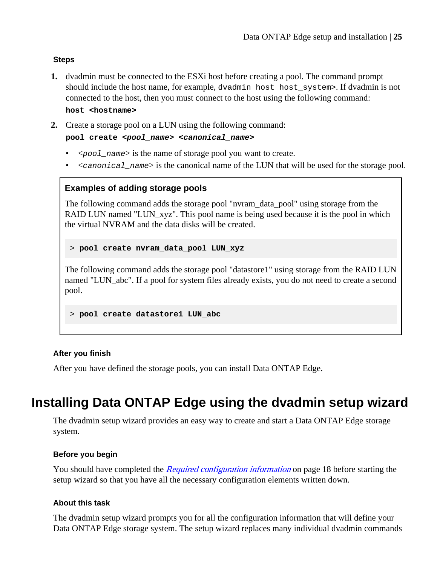### <span id="page-24-0"></span>**Steps**

**1.** dvadmin must be connected to the ESXi host before creating a pool. The command prompt should include the host name, for example, dvadmin host host system>. If dvadmin is not connected to the host, then you must connect to the host using the following command:

**host <hostname>**

**2.** Create a storage pool on a LUN using the following command:

**pool create <pool\_name> <canonical\_name>**

- $\leq$   $\infty$   $\leq$   $\leq$   $\leq$   $\leq$   $\leq$   $\leq$   $\leq$   $\leq$   $\leq$   $\leq$   $\leq$   $\leq$   $\leq$   $\leq$   $\leq$   $\leq$   $\leq$   $\leq$   $\leq$   $\leq$   $\leq$   $\leq$   $\leq$   $\leq$   $\leq$   $\leq$   $\leq$   $\leq$   $\leq$   $\leq$   $\leq$   $\leq$   $\leq$   $\leq$   $\le$
- $\leq$   $\leq$   $\leq$   $\leq$   $\leq$   $\leq$   $\leq$   $\leq$   $\leq$   $\leq$   $\leq$   $\leq$   $\leq$   $\leq$   $\leq$   $\leq$   $\leq$   $\leq$   $\leq$   $\leq$   $\leq$   $\leq$   $\leq$   $\leq$   $\leq$   $\leq$   $\leq$   $\leq$   $\leq$   $\leq$   $\leq$   $\leq$   $\leq$   $\leq$   $\leq$   $\leq$   $\le$

### **Examples of adding storage pools**

The following command adds the storage pool "nvram\_data\_pool" using storage from the RAID LUN named "LUN\_xyz". This pool name is being used because it is the pool in which the virtual NVRAM and the data disks will be created.

> **pool create nvram\_data\_pool LUN\_xyz**

The following command adds the storage pool "datastore1" using storage from the RAID LUN named "LUN\_abc". If a pool for system files already exists, you do not need to create a second pool.

#### > **pool create datastore1 LUN\_abc**

### **After you finish**

After you have defined the storage pools, you can install Data ONTAP Edge.

# **Installing Data ONTAP Edge using the dvadmin setup wizard**

The dvadmin setup wizard provides an easy way to create and start a Data ONTAP Edge storage system.

### **Before you begin**

You should have completed the *[Required configuration information](#page-17-0)* on page 18 before starting the setup wizard so that you have all the necessary configuration elements written down.

### **About this task**

The dvadmin setup wizard prompts you for all the configuration information that will define your Data ONTAP Edge storage system. The setup wizard replaces many individual dvadmin commands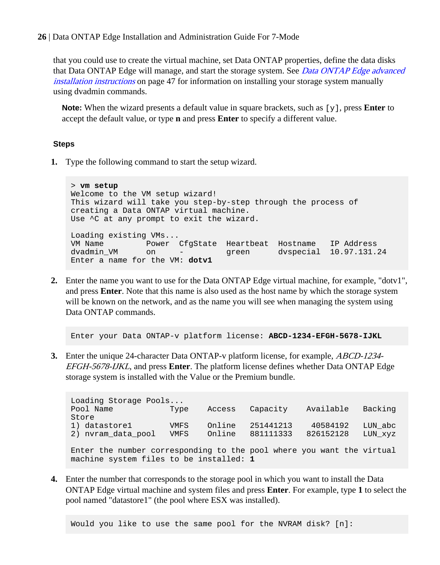that you could use to create the virtual machine, set Data ONTAP properties, define the data disks that Data ONTAP Edge will manage, and start the storage system. See [Data ONTAP Edge advanced](#page-46-0) [installation instructions](#page-46-0) on page 47 for information on installing your storage system manually using dvadmin commands.

**Note:** When the wizard presents a default value in square brackets, such as [y], press **Enter** to accept the default value, or type **n** and press **Enter** to specify a different value.

### **Steps**

**1.** Type the following command to start the setup wizard.

> **vm setup** Welcome to the VM setup wizard! This wizard will take you step-by-step through the process of creating a Data ONTAP virtual machine. Use ^C at any prompt to exit the wizard. Loading existing VMs... VM Name Power CfgState Heartbeat Hostname IP Address dvadmin\_VM on - green dvspecial 10.97.131.24 Enter a name for the VM: **dotv1**

**2.** Enter the name you want to use for the Data ONTAP Edge virtual machine, for example, "dotv1", and press **Enter**. Note that this name is also used as the host name by which the storage system will be known on the network, and as the name you will see when managing the system using Data ONTAP commands.

Enter your Data ONTAP-v platform license: **ABCD-1234-EFGH-5678-IJKL**

**3.** Enter the unique 24-character Data ONTAP-v platform license, for example, ABCD-1234- EFGH-5678-IJKL, and press **Enter**. The platform license defines whether Data ONTAP Edge storage system is installed with the Value or the Premium bundle.

Loading Storage Pools... Pool Name Type Access Capacity Available Backing Store 1) datastore1 VMFS Online 251441213 40584192 LUN\_abc 2) nvram\_data\_pool VMFS Online 881111333 826152128 LUN\_xyz Enter the number corresponding to the pool where you want the virtual machine system files to be installed: **1**

**4.** Enter the number that corresponds to the storage pool in which you want to install the Data ONTAP Edge virtual machine and system files and press **Enter**. For example, type **1** to select the pool named "datastore1" (the pool where ESX was installed).

Would you like to use the same pool for the NVRAM disk? [n]: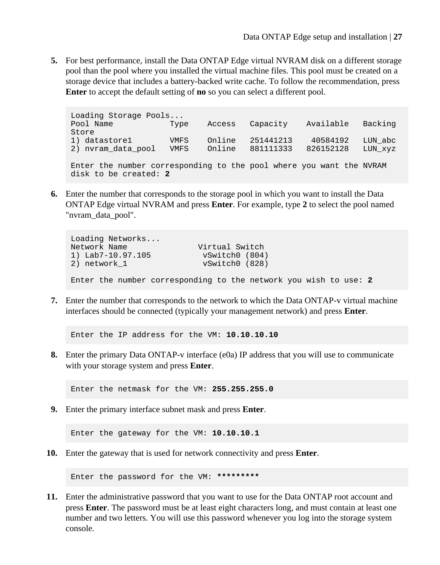**5.** For best performance, install the Data ONTAP Edge virtual NVRAM disk on a different storage pool than the pool where you installed the virtual machine files. This pool must be created on a storage device that includes a battery-backed write cache. To follow the recommendation, press **Enter** to accept the default setting of **no** so you can select a different pool.

Loading Storage Pools...<br>Pool Name Type -<br>Type Access Capacity Available Backing Store 1) datastore1 VMFS Online 251441213 40584192 LUN\_abc 2) nvram\_data\_pool VMFS Online 881111333 826152128 LUN\_xyz Enter the number corresponding to the pool where you want the NVRAM disk to be created: **2**

**6.** Enter the number that corresponds to the storage pool in which you want to install the Data ONTAP Edge virtual NVRAM and press **Enter**. For example, type **2** to select the pool named "nvram\_data\_pool".

```
Loading Networks...
Network Name Virtual Switch<br>1) Lab7-10.97.105 vSwitch0 (804
1) Lab7-10.97.105 vSwitch0 (804)
                            vSwitch0 (828)
Enter the number corresponding to the network you wish to use: 2
```
**7.** Enter the number that corresponds to the network to which the Data ONTAP-v virtual machine interfaces should be connected (typically your management network) and press **Enter**.

Enter the IP address for the VM: **10.10.10.10**

**8.** Enter the primary Data ONTAP-v interface (e0a) IP address that you will use to communicate with your storage system and press **Enter**.

Enter the netmask for the VM: **255.255.255.0**

**9.** Enter the primary interface subnet mask and press **Enter**.

Enter the gateway for the VM: **10.10.10.1**

**10.** Enter the gateway that is used for network connectivity and press **Enter**.

Enter the password for the VM: **\*\*\*\*\*\*\*\*\***

**11.** Enter the administrative password that you want to use for the Data ONTAP root account and press **Enter**. The password must be at least eight characters long, and must contain at least one number and two letters. You will use this password whenever you log into the storage system console.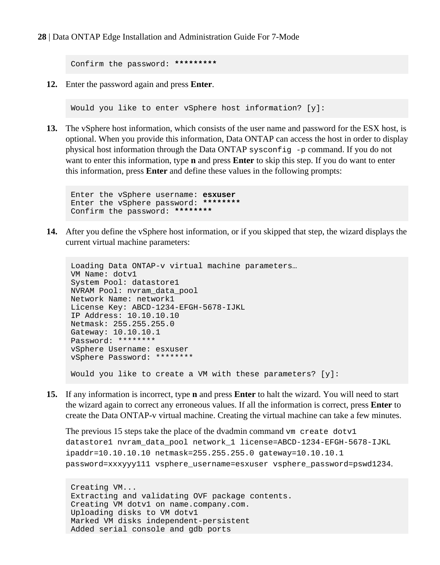Confirm the password: **\*\*\*\*\*\*\*\*\***

**12.** Enter the password again and press **Enter**.

Would you like to enter vSphere host information? [y]:

**13.** The vSphere host information, which consists of the user name and password for the ESX host, is optional. When you provide this information, Data ONTAP can access the host in order to display physical host information through the Data ONTAP sysconfig -p command. If you do not want to enter this information, type **n** and press **Enter** to skip this step. If you do want to enter this information, press **Enter** and define these values in the following prompts:

```
Enter the vSphere username: esxuser
Enter the vSphere password: ********
Confirm the password: ********
```
**14.** After you define the vSphere host information, or if you skipped that step, the wizard displays the current virtual machine parameters:

```
Loading Data ONTAP-v virtual machine parameters…
VM Name: dotv1
System Pool: datastore1
NVRAM Pool: nvram_data_pool
Network Name: network1
License Key: ABCD-1234-EFGH-5678-IJKL
IP Address: 10.10.10.10
Netmask: 255.255.255.0
Gateway: 10.10.10.1
Password: ********
vSphere Username: esxuser
vSphere Password: ********
Would you like to create a VM with these parameters? [y]:
```
**15.** If any information is incorrect, type **n** and press **Enter** to halt the wizard. You will need to start the wizard again to correct any erroneous values. If all the information is correct, press **Enter** to create the Data ONTAP-v virtual machine. Creating the virtual machine can take a few minutes.

```
The previous 15 steps take the place of the dvadmin command vm create dotv1
datastore1 nvram_data_pool network_1 license=ABCD-1234-EFGH-5678-IJKL
ipaddr=10.10.10.10 netmask=255.255.255.0 gateway=10.10.10.1
password=xxxyyy111 vsphere_username=esxuser vsphere_password=pswd1234.
```

```
Creating VM...
Extracting and validating OVF package contents.
Creating VM dotv1 on name.company.com.
Uploading disks to VM dotv1
Marked VM disks independent-persistent
Added serial console and gdb ports
```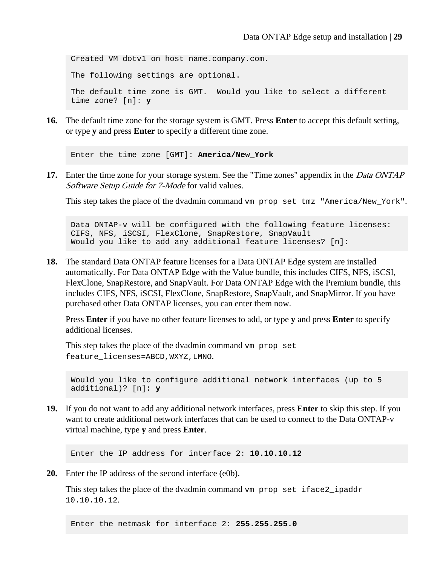Created VM dotv1 on host name.company.com. The following settings are optional. The default time zone is GMT. Would you like to select a different time zone? [n]: **y**

**16.** The default time zone for the storage system is GMT. Press **Enter** to accept this default setting, or type **y** and press **Enter** to specify a different time zone.

Enter the time zone [GMT]: **America/New\_York**

**17.** Enter the time zone for your storage system. See the "Time zones" appendix in the Data ONTAP Software Setup Guide for 7-Mode for valid values.

This step takes the place of the dvadmin command vm prop set tmz "America/New\_York".

Data ONTAP-v will be configured with the following feature licenses: CIFS, NFS, iSCSI, FlexClone, SnapRestore, SnapVault Would you like to add any additional feature licenses? [n]:

**18.** The standard Data ONTAP feature licenses for a Data ONTAP Edge system are installed automatically. For Data ONTAP Edge with the Value bundle, this includes CIFS, NFS, iSCSI, FlexClone, SnapRestore, and SnapVault. For Data ONTAP Edge with the Premium bundle, this includes CIFS, NFS, iSCSI, FlexClone, SnapRestore, SnapVault, and SnapMirror. If you have purchased other Data ONTAP licenses, you can enter them now.

Press **Enter** if you have no other feature licenses to add, or type **y** and press **Enter** to specify additional licenses.

This step takes the place of the dvadmin command vm prop set feature\_licenses=ABCD,WXYZ,LMNO.

```
Would you like to configure additional network interfaces (up to 5 
additional)? [n]: y
```
**19.** If you do not want to add any additional network interfaces, press **Enter** to skip this step. If you want to create additional network interfaces that can be used to connect to the Data ONTAP-v virtual machine, type **y** and press **Enter**.

Enter the IP address for interface 2: **10.10.10.12**

**20.** Enter the IP address of the second interface (e0b).

This step takes the place of the dvadmin command ym prop set iface2 ipaddr 10.10.10.12.

Enter the netmask for interface 2: **255.255.255.0**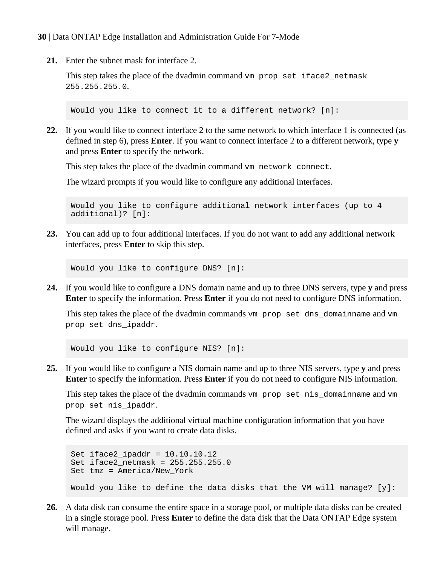**21.** Enter the subnet mask for interface 2.

This step takes the place of the dvadmin command vm prop set iface2\_netmask 255.255.255.0.

Would you like to connect it to a different network? [n]:

**22.** If you would like to connect interface 2 to the same network to which interface 1 is connected (as defined in step 6), press **Enter**. If you want to connect interface 2 to a different network, type **y** and press **Enter** to specify the network.

This step takes the place of the dvadmin command vm network connect.

The wizard prompts if you would like to configure any additional interfaces.

Would you like to configure additional network interfaces (up to 4 additional)? [n]:

**23.** You can add up to four additional interfaces. If you do not want to add any additional network interfaces, press **Enter** to skip this step.

Would you like to configure DNS? [n]:

**24.** If you would like to configure a DNS domain name and up to three DNS servers, type **y** and press **Enter** to specify the information. Press **Enter** if you do not need to configure DNS information.

This step takes the place of the dvadmin commands vm prop set dns\_domainname and vm prop set dns\_ipaddr.

Would you like to configure NIS? [n]:

**25.** If you would like to configure a NIS domain name and up to three NIS servers, type **y** and press **Enter** to specify the information. Press **Enter** if you do not need to configure NIS information.

This step takes the place of the dvadmin commands vm prop set nis\_domainname and vm prop set nis\_ipaddr.

The wizard displays the additional virtual machine configuration information that you have defined and asks if you want to create data disks.

```
Set iface2 ipaddr = 10.10.10.12Set iface2_netmask = 255.255.255.0
Set tmz = America/New_York
Would you like to define the data disks that the VM will manage? [y]:
```
**26.** A data disk can consume the entire space in a storage pool, or multiple data disks can be created in a single storage pool. Press **Enter** to define the data disk that the Data ONTAP Edge system will manage.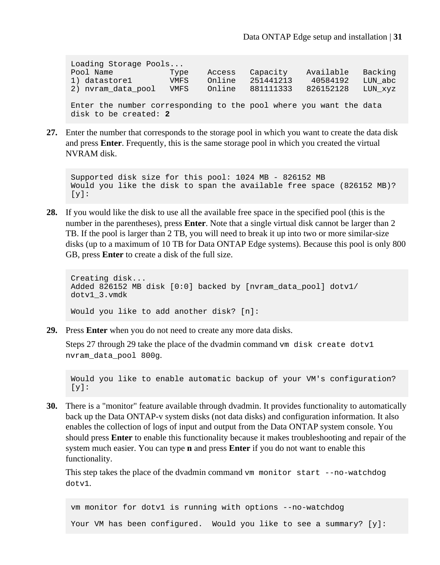Loading Storage Pools...<br>Pool Name Type Pool Name Type Access Capacity Available Backing VMFS Online 251441213 2) nvram\_data\_pool VMFS Online 881111333 826152128 LUN\_xyz Enter the number corresponding to the pool where you want the data disk to be created: **2**

**27.** Enter the number that corresponds to the storage pool in which you want to create the data disk and press **Enter**. Frequently, this is the same storage pool in which you created the virtual NVRAM disk.

```
Supported disk size for this pool: 1024 MB - 826152 MB
Would you like the disk to span the available free space (826152 MB)? 
[v]:
```
**28.** If you would like the disk to use all the available free space in the specified pool (this is the number in the parentheses), press **Enter**. Note that a single virtual disk cannot be larger than 2 TB. If the pool is larger than 2 TB, you will need to break it up into two or more similar-size disks (up to a maximum of 10 TB for Data ONTAP Edge systems). Because this pool is only 800 GB, press **Enter** to create a disk of the full size.

```
Creating disk...
Added 826152 MB disk [0:0] backed by [nvram_data_pool] dotv1/
dotv1_3.vmdk
Would you like to add another disk? [n]:
```
**29.** Press **Enter** when you do not need to create any more data disks.

Steps 27 through 29 take the place of the dvadmin command vm disk create dotv1 nvram\_data\_pool 800g.

Would you like to enable automatic backup of your VM's configuration?  $[y]$ :

**30.** There is a "monitor" feature available through dvadmin. It provides functionality to automatically back up the Data ONTAP-v system disks (not data disks) and configuration information. It also enables the collection of logs of input and output from the Data ONTAP system console. You should press **Enter** to enable this functionality because it makes troubleshooting and repair of the system much easier. You can type **n** and press **Enter** if you do not want to enable this functionality.

This step takes the place of the dvadmin command vm monitor start --no-watchdog dotv1.

vm monitor for dotv1 is running with options --no-watchdog Your VM has been configured. Would you like to see a summary? [y]: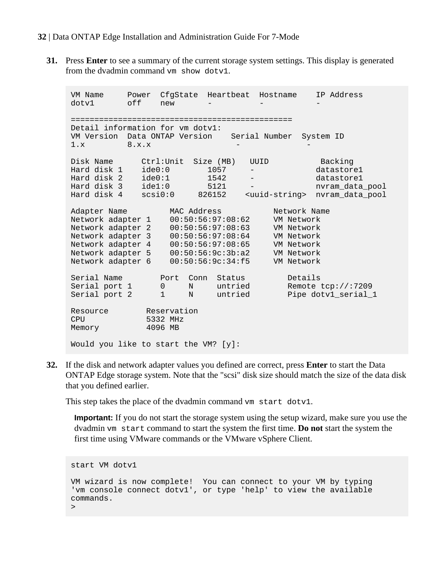**31.** Press **Enter** to see a summary of the current storage system settings. This display is generated from the dvadmin command vm show dotv1.

VM Name Power CfgState Heartbeat Hostname IP Address dotv1 off new -=============================================== Detail information for vm dotv1: VM Version Data ONTAP Version Serial Number System ID  $1.x$  8.x.x -  $-$ Disk Name Ctrl:Unit Size (MB) UUID Backing Hard disk 1 ide0:0 1057 - datastore1 Hard disk 2 ide0:1 1542 - datastore1 Hard disk 3 ide1:0 5121 - nvram\_data\_pool Hard disk 4 scsi0:0 826152 <uuid-string> nvram\_data\_pool Adapter Name MAC Address Metwork Name Network adapter 1 00:50:56:97:08:62 VM Network Network adapter 2 00:50:56:97:08:63 VM Network Network adapter 3 00:50:56:97:08:64 VM Network Network adapter 4 00:50:56:97:08:65 VM Network Network adapter 5 00:50:56:9c:3b:a2 VM Network Network adapter 6 00:50:56:9c:34:f5 VM Network Serial Name Port Conn Status Details Serial port 1 0 N untried Remote tcp://:7209 Serial port 2 1 N untried Pipe dotvl\_serial\_1 Resource Reservation CPU 5332 MHz Memory 4096 MB Would you like to start the VM? [y]:

**32.** If the disk and network adapter values you defined are correct, press **Enter** to start the Data ONTAP Edge storage system. Note that the "scsi" disk size should match the size of the data disk that you defined earlier.

This step takes the place of the dvadmin command vm start dotyl.

**Important:** If you do not start the storage system using the setup wizard, make sure you use the dvadmin vm start command to start the system the first time. **Do not** start the system the first time using VMware commands or the VMware vSphere Client.

```
start VM dotv1
VM wizard is now complete! You can connect to your VM by typing 
'vm console connect dotv1', or type 'help' to view the available 
commands.
>
```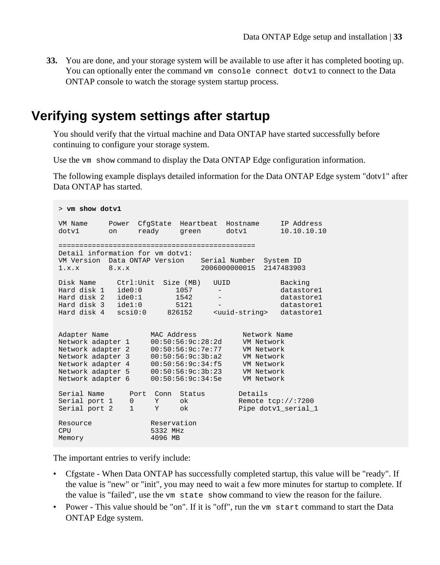<span id="page-32-0"></span>**33.** You are done, and your storage system will be available to use after it has completed booting up. You can optionally enter the command vm console connect dotv1 to connect to the Data ONTAP console to watch the storage system startup process.

## **Verifying system settings after startup**

You should verify that the virtual machine and Data ONTAP have started successfully before continuing to configure your storage system.

Use the vm show command to display the Data ONTAP Edge configuration information.

The following example displays detailed information for the Data ONTAP Edge system "dotv1" after Data ONTAP has started.

```
> vm show dotv1
VM Name Power CfgState Heartbeat Hostname IP Address
dotv1 on ready green dotv1 10.10.10.10
===============================================
Detail information for vm dotv1:
VM Version Data ONTAP Version Serial Number System ID 
1.x.x 8.x.x 2006000000015 2147483903 
Disk Name Ctrl:Unit Size (MB) UUID Backing
Hard disk 1 ide0:0 1057 - datastore1
Hard disk 2 ide0:1 1542 - datastore1
Hard disk 3 ide1:0 5121 - datastore1
Hard disk 4 scsi0:0 826152 <uuid-string> datastore1
Adapter Name MAC Address Metwork Name
Network adapter 1 00:50:56:9c:28:2d VM Network
Network adapter 2 00:50:56:9c:7e:77 VM Network
Network adapter 3 00:50:56:9c:3b:a2 VM Network
Network adapter 4 00:50:56:9c:34:f5 VM Network
Network adapter 5 00:50:56:9c:3b:23 VM Network
Network adapter 6 00:50:56:9c:34:5e VM Network
Serial Name Port Conn Status Details
Serial port 1 0 Y ok Remote tcp://:7200
Serial port 2 1 Y ok Pipe dotvl_serial_1
Resource Reservation
CPU 5332 MHz
Memory 61, 2006 MB
```
The important entries to verify include:

- Cfgstate When Data ONTAP has successfully completed startup, this value will be "ready". If the value is "new" or "init", you may need to wait a few more minutes for startup to complete. If the value is "failed", use the vm state show command to view the reason for the failure.
- Power This value should be "on". If it is "off", run the vm start command to start the Data ONTAP Edge system.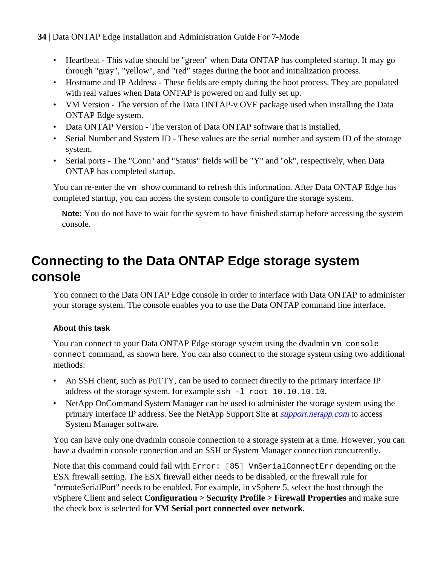- <span id="page-33-0"></span>• Heartbeat - This value should be "green" when Data ONTAP has completed startup. It may go through "gray", "yellow", and "red" stages during the boot and initialization process.
- Hostname and IP Address These fields are empty during the boot process. They are populated with real values when Data ONTAP is powered on and fully set up.
- VM Version The version of the Data ONTAP-v OVF package used when installing the Data ONTAP Edge system.
- Data ONTAP Version The version of Data ONTAP software that is installed.
- Serial Number and System ID These values are the serial number and system ID of the storage system.
- Serial ports The "Conn" and "Status" fields will be "Y" and "ok", respectively, when Data ONTAP has completed startup.

You can re-enter the vm show command to refresh this information. After Data ONTAP Edge has completed startup, you can access the system console to configure the storage system.

**Note:** You do not have to wait for the system to have finished startup before accessing the system console.

# **Connecting to the Data ONTAP Edge storage system console**

You connect to the Data ONTAP Edge console in order to interface with Data ONTAP to administer your storage system. The console enables you to use the Data ONTAP command line interface.

### **About this task**

You can connect to your Data ONTAP Edge storage system using the dvadmin vm console connect command, as shown here. You can also connect to the storage system using two additional methods:

- An SSH client, such as PuTTY, can be used to connect directly to the primary interface IP address of the storage system, for example ssh -l root 10.10.10.10.
- NetApp OnCommand System Manager can be used to administer the storage system using the primary interface IP address. See the NetApp Support Site at *[support.netapp.com](http://support.netapp.com/)* to access System Manager software.

You can have only one dvadmin console connection to a storage system at a time. However, you can have a dvadmin console connection and an SSH or System Manager connection concurrently.

Note that this command could fail with Error: [85] VmSerialConnectErr depending on the ESX firewall setting. The ESX firewall either needs to be disabled, or the firewall rule for "remoteSerialPort" needs to be enabled. For example, in vSphere 5, select the host through the vSphere Client and select **Configuration > Security Profile > Firewall Properties** and make sure the check box is selected for **VM Serial port connected over network**.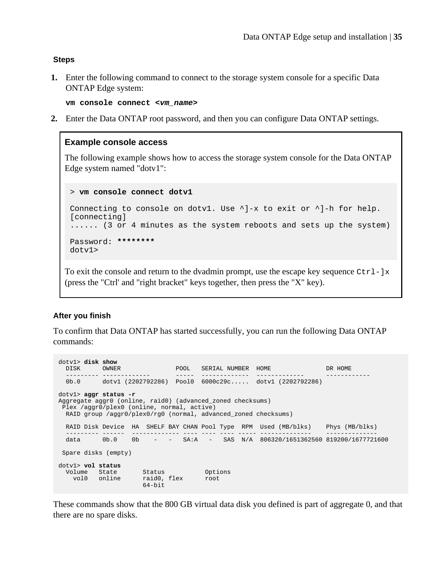#### **Steps**

**1.** Enter the following command to connect to the storage system console for a specific Data ONTAP Edge system:

**vm console connect <vm\_name>**

**2.** Enter the Data ONTAP root password, and then you can configure Data ONTAP settings.

#### **Example console access**

The following example shows how to access the storage system console for the Data ONTAP Edge system named "dotv1":

> **vm console connect dotv1**

```
Connecting to console on dotv1. Use \lambda]-x to exit or \lambda]-h for help.
[connecting]
...... (3 or 4 minutes as the system reboots and sets up the system)
Password: ********
dotv1>
```
To exit the console and return to the dvadmin prompt, use the escape key sequence  $Ctr1 - jx$ (press the "Ctrl' and "right bracket" keys together, then press the "X" key).

#### **After you finish**

To confirm that Data ONTAP has started successfully, you can run the following Data ONTAP commands:

```
dotv1> disk show
 DISK OWNER POOL SERIAL NUMBER HOME DR HOME
 --------- ------------- ----- ------------- ------------- ------------
   0b.0 dotv1 (2202792286) Pool0 6000c29c..... dotv1 (2202792286)
dotv1> aggr status -r
Aggregate aggr0 (online, raid0) (advanced_zoned checksums)
  Plex /aggr0/plex0 (online, normal, active)
   RAID group /aggr0/plex0/rg0 (normal, advanced_zoned checksums)
  RAID Disk Device HA SHELF BAY CHAN Pool Type RPM Used (MB/blks) Phys (MB/blks)
 --------- ------ ------------- ---- ---- ---- ----- -------------- --------------
 data 0b.0 0b - - SA:A - SAS N/A 806320/1651362560 819200/1677721600
  Spare disks (empty)
dotv1> vol status<br>
Volume Status Status Options<br>
vol0 online raid0, flex root<br>
64-bit
```
These commands show that the 800 GB virtual data disk you defined is part of aggregate 0, and that there are no spare disks.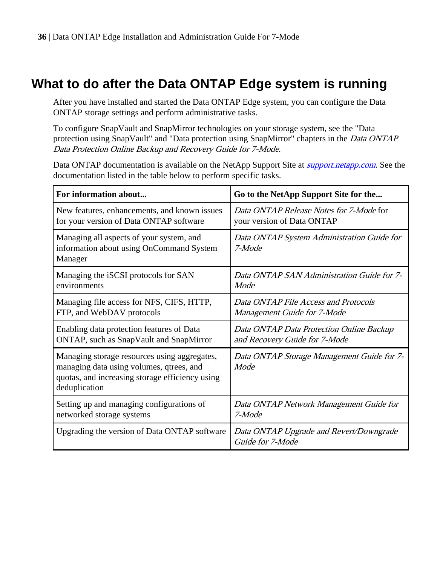# <span id="page-35-0"></span>**What to do after the Data ONTAP Edge system is running**

After you have installed and started the Data ONTAP Edge system, you can configure the Data ONTAP storage settings and perform administrative tasks.

To configure SnapVault and SnapMirror technologies on your storage system, see the "Data protection using SnapVault" and "Data protection using SnapMirror" chapters in the Data ONTAP Data Protection Online Backup and Recovery Guide for 7-Mode.

Data ONTAP documentation is available on the NetApp Support Site at *[support.netapp.com](http://support.netapp.com/)*. See the documentation listed in the table below to perform specific tasks.

| For information about                                                                                                                                        | Go to the NetApp Support Site for the                       |
|--------------------------------------------------------------------------------------------------------------------------------------------------------------|-------------------------------------------------------------|
| New features, enhancements, and known issues                                                                                                                 | Data ONTAP Release Notes for 7-Mode for                     |
| for your version of Data ONTAP software                                                                                                                      | your version of Data ONTAP                                  |
| Managing all aspects of your system, and<br>information about using OnCommand System<br>Manager                                                              | Data ONTAP System Administration Guide for<br>7-Mode        |
| Managing the iSCSI protocols for SAN                                                                                                                         | Data ONTAP SAN Administration Guide for 7-                  |
| environments                                                                                                                                                 | Mode                                                        |
| Managing file access for NFS, CIFS, HTTP,                                                                                                                    | Data ONTAP File Access and Protocols                        |
| FTP, and WebDAV protocols                                                                                                                                    | Management Guide for 7-Mode                                 |
| Enabling data protection features of Data                                                                                                                    | Data ONTAP Data Protection Online Backup                    |
| ONTAP, such as SnapVault and SnapMirror                                                                                                                      | and Recovery Guide for 7-Mode                               |
| Managing storage resources using aggregates,<br>managing data using volumes, qtrees, and<br>quotas, and increasing storage efficiency using<br>deduplication | Data ONTAP Storage Management Guide for 7-<br>Mode          |
| Setting up and managing configurations of                                                                                                                    | Data ONTAP Network Management Guide for                     |
| networked storage systems                                                                                                                                    | 7-Mode                                                      |
| Upgrading the version of Data ONTAP software                                                                                                                 | Data ONTAP Upgrade and Revert/Downgrade<br>Guide for 7-Mode |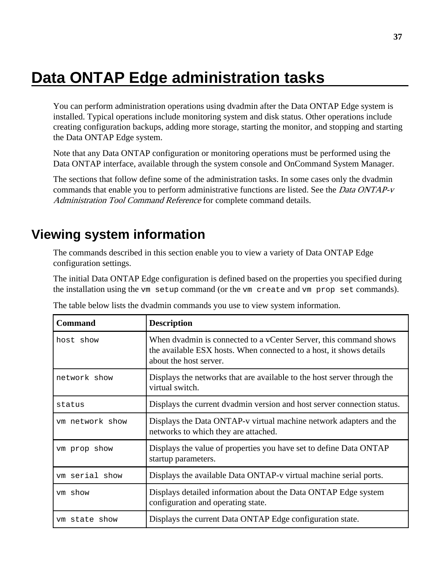# <span id="page-36-0"></span>**Data ONTAP Edge administration tasks**

You can perform administration operations using dvadmin after the Data ONTAP Edge system is installed. Typical operations include monitoring system and disk status. Other operations include creating configuration backups, adding more storage, starting the monitor, and stopping and starting the Data ONTAP Edge system.

Note that any Data ONTAP configuration or monitoring operations must be performed using the Data ONTAP interface, available through the system console and OnCommand System Manager.

The sections that follow define some of the administration tasks. In some cases only the dvadmin commands that enable you to perform administrative functions are listed. See the *Data ONTAP-v* Administration Tool Command Reference for complete command details.

## **Viewing system information**

The commands described in this section enable you to view a variety of Data ONTAP Edge configuration settings.

The initial Data ONTAP Edge configuration is defined based on the properties you specified during the installation using the vm setup command (or the vm create and vm prop set commands).

| <b>Command</b>  | <b>Description</b>                                                                                                                                                 |  |  |
|-----------------|--------------------------------------------------------------------------------------------------------------------------------------------------------------------|--|--|
| host show       | When dvadmin is connected to a vCenter Server, this command shows<br>the available ESX hosts. When connected to a host, it shows details<br>about the host server. |  |  |
| network show    | Displays the networks that are available to the host server through the<br>virtual switch.                                                                         |  |  |
| status          | Displays the current dvadmin version and host server connection status.                                                                                            |  |  |
| vm network show | Displays the Data ONTAP-v virtual machine network adapters and the<br>networks to which they are attached.                                                         |  |  |
| vm prop show    | Displays the value of properties you have set to define Data ONTAP<br>startup parameters.                                                                          |  |  |
| vm serial show  | Displays the available Data ONTAP-v virtual machine serial ports.                                                                                                  |  |  |
| vm show         | Displays detailed information about the Data ONTAP Edge system<br>configuration and operating state.                                                               |  |  |
| ym state show   | Displays the current Data ONTAP Edge configuration state.                                                                                                          |  |  |

The table below lists the dvadmin commands you use to view system information.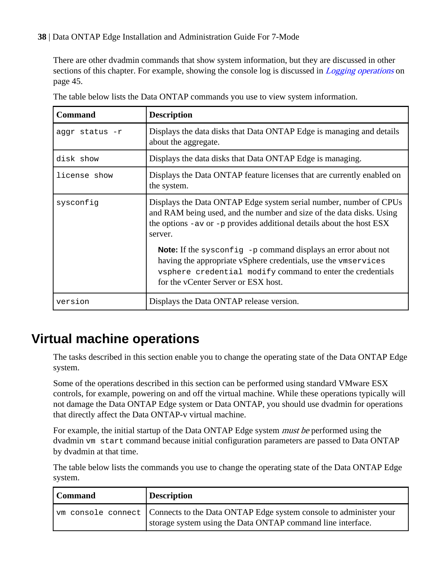There are other dvadmin commands that show system information, but they are discussed in other sections of this chapter. For example, showing the console log is discussed in *[Logging operations](#page-44-0)* on page 45.

| <b>Command</b> | <b>Description</b>                                                                                                                                                                                                                          |  |
|----------------|---------------------------------------------------------------------------------------------------------------------------------------------------------------------------------------------------------------------------------------------|--|
| aggr status -r | Displays the data disks that Data ONTAP Edge is managing and details<br>about the aggregate.                                                                                                                                                |  |
| disk show      | Displays the data disks that Data ONTAP Edge is managing.                                                                                                                                                                                   |  |
| license show   | Displays the Data ONTAP feature licenses that are currently enabled on<br>the system.                                                                                                                                                       |  |
| sysconfiq      | Displays the Data ONTAP Edge system serial number, number of CPUs<br>and RAM being used, and the number and size of the data disks. Using<br>the options $-\alpha v$ or $-p$ provides additional details about the host ESX<br>server.      |  |
|                | <b>Note:</b> If the sysconfig -p command displays an error about not<br>having the appropriate vSphere credentials, use the vmservices<br>vsphere credential modify command to enter the credentials<br>for the vCenter Server or ESX host. |  |
| version        | Displays the Data ONTAP release version.                                                                                                                                                                                                    |  |

The table below lists the Data ONTAP commands you use to view system information.

## **Virtual machine operations**

The tasks described in this section enable you to change the operating state of the Data ONTAP Edge system.

Some of the operations described in this section can be performed using standard VMware ESX controls, for example, powering on and off the virtual machine. While these operations typically will not damage the Data ONTAP Edge system or Data ONTAP, you should use dvadmin for operations that directly affect the Data ONTAP-v virtual machine.

For example, the initial startup of the Data ONTAP Edge system *must be* performed using the dvadmin vm start command because initial configuration parameters are passed to Data ONTAP by dvadmin at that time.

The table below lists the commands you use to change the operating state of the Data ONTAP Edge system.

| <b>Description</b><br>l Command |                                                                                                                                                            |
|---------------------------------|------------------------------------------------------------------------------------------------------------------------------------------------------------|
|                                 | <u>vm</u> console connect Connects to the Data ONTAP Edge system console to administer your<br>storage system using the Data ONTAP command line interface. |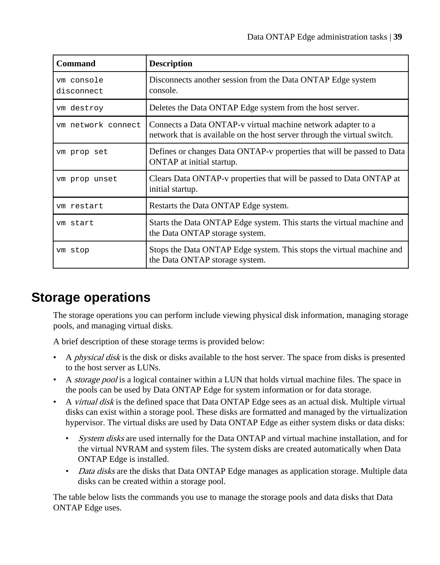<span id="page-38-0"></span>

| <b>Command</b>           | <b>Description</b>                                                                                                                       |  |  |
|--------------------------|------------------------------------------------------------------------------------------------------------------------------------------|--|--|
| ym console<br>disconnect | Disconnects another session from the Data ONTAP Edge system<br>console.                                                                  |  |  |
| vm destroy               | Deletes the Data ONTAP Edge system from the host server.                                                                                 |  |  |
| ym network connect       | Connects a Data ONTAP-v virtual machine network adapter to a<br>network that is available on the host server through the virtual switch. |  |  |
| vm prop set              | Defines or changes Data ONTAP-v properties that will be passed to Data<br>ONTAP at initial startup.                                      |  |  |
| vm prop unset            | Clears Data ONTAP-v properties that will be passed to Data ONTAP at<br>initial startup.                                                  |  |  |
| vm restart               | Restarts the Data ONTAP Edge system.                                                                                                     |  |  |
| ym start                 | Starts the Data ONTAP Edge system. This starts the virtual machine and<br>the Data ONTAP storage system.                                 |  |  |
| vm stop                  | Stops the Data ONTAP Edge system. This stops the virtual machine and<br>the Data ONTAP storage system.                                   |  |  |

## **Storage operations**

The storage operations you can perform include viewing physical disk information, managing storage pools, and managing virtual disks.

A brief description of these storage terms is provided below:

- A *physical disk* is the disk or disks available to the host server. The space from disks is presented to the host server as LUNs.
- A *storage pool* is a logical container within a LUN that holds virtual machine files. The space in the pools can be used by Data ONTAP Edge for system information or for data storage.
- A *virtual disk* is the defined space that Data ONTAP Edge sees as an actual disk. Multiple virtual disks can exist within a storage pool. These disks are formatted and managed by the virtualization hypervisor. The virtual disks are used by Data ONTAP Edge as either system disks or data disks:
	- System disks are used internally for the Data ONTAP and virtual machine installation, and for the virtual NVRAM and system files. The system disks are created automatically when Data ONTAP Edge is installed.
	- Data disks are the disks that Data ONTAP Edge manages as application storage. Multiple data disks can be created within a storage pool.

The table below lists the commands you use to manage the storage pools and data disks that Data ONTAP Edge uses.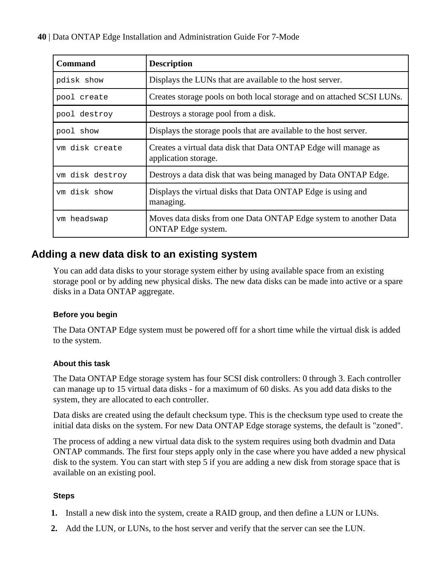<span id="page-39-0"></span>

| <b>Command</b>  | <b>Description</b>                                                                            |  |  |
|-----------------|-----------------------------------------------------------------------------------------------|--|--|
| pdisk show      | Displays the LUNs that are available to the host server.                                      |  |  |
| pool create     | Creates storage pools on both local storage and on attached SCSI LUNs.                        |  |  |
| pool destroy    | Destroys a storage pool from a disk.                                                          |  |  |
| pool show       | Displays the storage pools that are available to the host server.                             |  |  |
| ym disk create  | Creates a virtual data disk that Data ONTAP Edge will manage as<br>application storage.       |  |  |
| vm disk destroy | Destroys a data disk that was being managed by Data ONTAP Edge.                               |  |  |
| vm disk show    | Displays the virtual disks that Data ONTAP Edge is using and<br>managing.                     |  |  |
| ym headswap     | Moves data disks from one Data ONTAP Edge system to another Data<br><b>ONTAP</b> Edge system. |  |  |

### **Adding a new data disk to an existing system**

You can add data disks to your storage system either by using available space from an existing storage pool or by adding new physical disks. The new data disks can be made into active or a spare disks in a Data ONTAP aggregate.

#### **Before you begin**

The Data ONTAP Edge system must be powered off for a short time while the virtual disk is added to the system.

#### **About this task**

The Data ONTAP Edge storage system has four SCSI disk controllers: 0 through 3. Each controller can manage up to 15 virtual data disks - for a maximum of 60 disks. As you add data disks to the system, they are allocated to each controller.

Data disks are created using the default checksum type. This is the checksum type used to create the initial data disks on the system. For new Data ONTAP Edge storage systems, the default is "zoned".

The process of adding a new virtual data disk to the system requires using both dvadmin and Data ONTAP commands. The first four steps apply only in the case where you have added a new physical disk to the system. You can start with step 5 if you are adding a new disk from storage space that is available on an existing pool.

#### **Steps**

- **1.** Install a new disk into the system, create a RAID group, and then define a LUN or LUNs.
- **2.** Add the LUN, or LUNs, to the host server and verify that the server can see the LUN.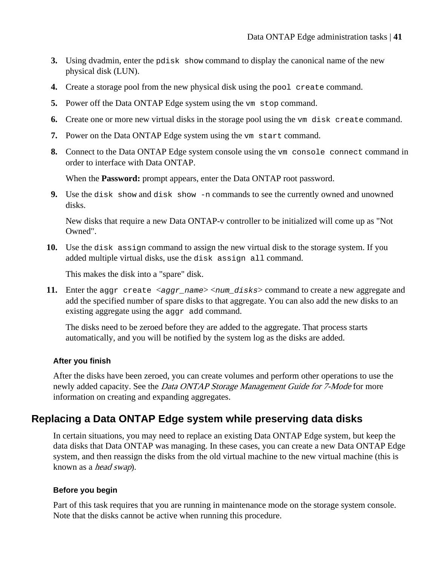- <span id="page-40-0"></span>**3.** Using dvadmin, enter the pdisk show command to display the canonical name of the new physical disk (LUN).
- **4.** Create a storage pool from the new physical disk using the pool create command.
- **5.** Power off the Data ONTAP Edge system using the vm stop command.
- **6.** Create one or more new virtual disks in the storage pool using the vm disk create command.
- **7.** Power on the Data ONTAP Edge system using the vm start command.
- **8.** Connect to the Data ONTAP Edge system console using the vm console connect command in order to interface with Data ONTAP.

When the **Password:** prompt appears, enter the Data ONTAP root password.

**9.** Use the disk show and disk show -n commands to see the currently owned and unowned disks.

New disks that require a new Data ONTAP-v controller to be initialized will come up as "Not Owned".

**10.** Use the disk assign command to assign the new virtual disk to the storage system. If you added multiple virtual disks, use the disk assign all command.

This makes the disk into a "spare" disk.

**11.** Enter the aggr create  $\langle \text{aggr\_name} \rangle \langle \text{num\_disks} \rangle$  command to create a new aggregate and add the specified number of spare disks to that aggregate. You can also add the new disks to an existing aggregate using the aggregate dd command.

The disks need to be zeroed before they are added to the aggregate. That process starts automatically, and you will be notified by the system log as the disks are added.

#### **After you finish**

After the disks have been zeroed, you can create volumes and perform other operations to use the newly added capacity. See the *Data ONTAP Storage Management Guide for 7-Mode* for more information on creating and expanding aggregates.

### **Replacing a Data ONTAP Edge system while preserving data disks**

In certain situations, you may need to replace an existing Data ONTAP Edge system, but keep the data disks that Data ONTAP was managing. In these cases, you can create a new Data ONTAP Edge system, and then reassign the disks from the old virtual machine to the new virtual machine (this is known as a *head swap*).

#### **Before you begin**

Part of this task requires that you are running in maintenance mode on the storage system console. Note that the disks cannot be active when running this procedure.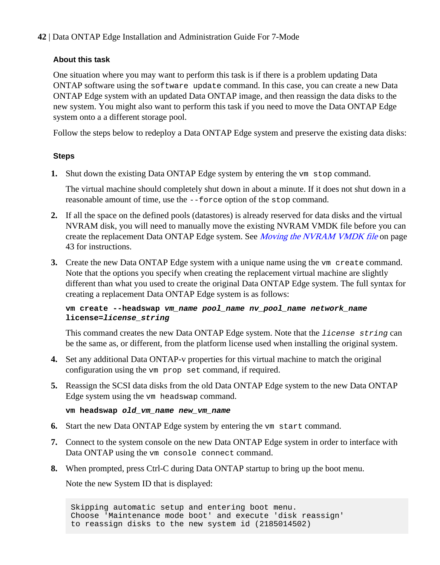#### **About this task**

One situation where you may want to perform this task is if there is a problem updating Data ONTAP software using the software update command. In this case, you can create a new Data ONTAP Edge system with an updated Data ONTAP image, and then reassign the data disks to the new system. You might also want to perform this task if you need to move the Data ONTAP Edge system onto a a different storage pool.

Follow the steps below to redeploy a Data ONTAP Edge system and preserve the existing data disks:

#### **Steps**

**1.** Shut down the existing Data ONTAP Edge system by entering the vm stop command.

The virtual machine should completely shut down in about a minute. If it does not shut down in a reasonable amount of time, use the --force option of the stop command.

- **2.** If all the space on the defined pools (datastores) is already reserved for data disks and the virtual NVRAM disk, you will need to manually move the existing NVRAM VMDK file before you can create the replacement Data ONTAP Edge system. See *[Moving the NVRAM VMDK file](#page-42-0)* on page 43 for instructions.
- **3.** Create the new Data ONTAP Edge system with a unique name using the vm create command. Note that the options you specify when creating the replacement virtual machine are slightly different than what you used to create the original Data ONTAP Edge system. The full syntax for creating a replacement Data ONTAP Edge system is as follows:

#### **vm create --headswap vm\_name pool\_name nv\_pool\_name network\_name license=license\_string**

This command creates the new Data ONTAP Edge system. Note that the *license* string can be the same as, or different, from the platform license used when installing the original system.

- **4.** Set any additional Data ONTAP-v properties for this virtual machine to match the original configuration using the vm prop set command, if required.
- **5.** Reassign the SCSI data disks from the old Data ONTAP Edge system to the new Data ONTAP Edge system using the vm headswap command.

```
vm headswap old_vm_name new_vm_name
```
- **6.** Start the new Data ONTAP Edge system by entering the vm start command.
- **7.** Connect to the system console on the new Data ONTAP Edge system in order to interface with Data ONTAP using the vm console connect command.
- **8.** When prompted, press Ctrl-C during Data ONTAP startup to bring up the boot menu.

Note the new System ID that is displayed:

Skipping automatic setup and entering boot menu. Choose 'Maintenance mode boot' and execute 'disk reassign' to reassign disks to the new system id (2185014502)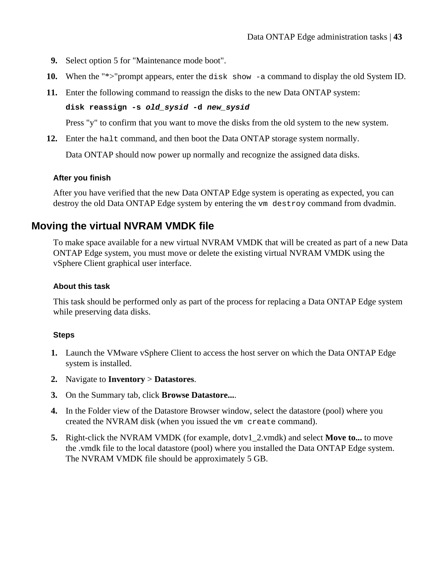- <span id="page-42-0"></span>**9.** Select option 5 for "Maintenance mode boot".
- 10. When the "\*>"prompt appears, enter the disk show -a command to display the old System ID.
- **11.** Enter the following command to reassign the disks to the new Data ONTAP system:

**disk reassign -s old\_sysid -d new\_sysid**

Press "y" to confirm that you want to move the disks from the old system to the new system.

**12.** Enter the halt command, and then boot the Data ONTAP storage system normally.

Data ONTAP should now power up normally and recognize the assigned data disks.

#### **After you finish**

After you have verified that the new Data ONTAP Edge system is operating as expected, you can destroy the old Data ONTAP Edge system by entering the vm destroy command from dvadmin.

### **Moving the virtual NVRAM VMDK file**

To make space available for a new virtual NVRAM VMDK that will be created as part of a new Data ONTAP Edge system, you must move or delete the existing virtual NVRAM VMDK using the vSphere Client graphical user interface.

#### **About this task**

This task should be performed only as part of the process for replacing a Data ONTAP Edge system while preserving data disks.

#### **Steps**

- **1.** Launch the VMware vSphere Client to access the host server on which the Data ONTAP Edge system is installed.
- **2.** Navigate to **Inventory** > **Datastores**.
- **3.** On the Summary tab, click **Browse Datastore...**.
- **4.** In the Folder view of the Datastore Browser window, select the datastore (pool) where you created the NVRAM disk (when you issued the vm create command).
- **5.** Right-click the NVRAM VMDK (for example, dotv1\_2.vmdk) and select **Move to...** to move the .vmdk file to the local datastore (pool) where you installed the Data ONTAP Edge system. The NVRAM VMDK file should be approximately 5 GB.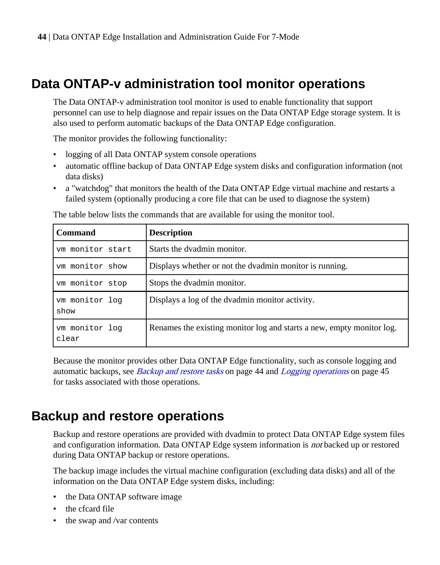## <span id="page-43-0"></span>**Data ONTAP-v administration tool monitor operations**

The Data ONTAP-v administration tool monitor is used to enable functionality that support personnel can use to help diagnose and repair issues on the Data ONTAP Edge storage system. It is also used to perform automatic backups of the Data ONTAP Edge configuration.

The monitor provides the following functionality:

- logging of all Data ONTAP system console operations
- automatic offline backup of Data ONTAP Edge system disks and configuration information (not data disks)
- a "watchdog" that monitors the health of the Data ONTAP Edge virtual machine and restarts a failed system (optionally producing a core file that can be used to diagnose the system)

| <b>Command</b>          | <b>Description</b>                                                    |  |  |
|-------------------------|-----------------------------------------------------------------------|--|--|
| ym monitor start        | Starts the dvadmin monitor.                                           |  |  |
| ym monitor show         | Displays whether or not the dvadmin monitor is running.               |  |  |
| ym monitor stop         | Stops the dvadmin monitor.                                            |  |  |
| vm monitor log<br>show  | Displays a log of the dvadmin monitor activity.                       |  |  |
| ym monitor log<br>clear | Renames the existing monitor log and starts a new, empty monitor log. |  |  |

The table below lists the commands that are available for using the monitor tool.

Because the monitor provides other Data ONTAP Edge functionality, such as console logging and automatic backups, see *Backup and restore tasks* on page 44 and *[Logging operations](#page-44-0)* on page 45 for tasks associated with those operations.

## **Backup and restore operations**

Backup and restore operations are provided with dvadmin to protect Data ONTAP Edge system files and configuration information. Data ONTAP Edge system information is *not* backed up or restored during Data ONTAP backup or restore operations.

The backup image includes the virtual machine configuration (excluding data disks) and all of the information on the Data ONTAP Edge system disks, including:

- the Data ONTAP software image
- the cfcard file
- the swap and /var contents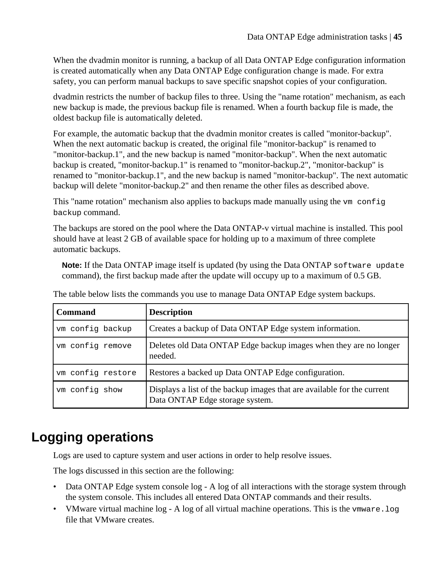<span id="page-44-0"></span>When the dvadmin monitor is running, a backup of all Data ONTAP Edge configuration information is created automatically when any Data ONTAP Edge configuration change is made. For extra safety, you can perform manual backups to save specific snapshot copies of your configuration.

dvadmin restricts the number of backup files to three. Using the "name rotation" mechanism, as each new backup is made, the previous backup file is renamed. When a fourth backup file is made, the oldest backup file is automatically deleted.

For example, the automatic backup that the dvadmin monitor creates is called "monitor-backup". When the next automatic backup is created, the original file "monitor-backup" is renamed to "monitor-backup.1", and the new backup is named "monitor-backup". When the next automatic backup is created, "monitor-backup.1" is renamed to "monitor-backup.2", "monitor-backup" is renamed to "monitor-backup.1", and the new backup is named "monitor-backup". The next automatic backup will delete "monitor-backup.2" and then rename the other files as described above.

This "name rotation" mechanism also applies to backups made manually using the  $vm$  configured matrix backup command.

The backups are stored on the pool where the Data ONTAP-v virtual machine is installed. This pool should have at least 2 GB of available space for holding up to a maximum of three complete automatic backups.

**Note:** If the Data ONTAP image itself is updated (by using the Data ONTAP software update command), the first backup made after the update will occupy up to a maximum of 0.5 GB.

| <b>Command</b>    | <b>Description</b>                                                                                         |  |  |
|-------------------|------------------------------------------------------------------------------------------------------------|--|--|
| vm config backup  | Creates a backup of Data ONTAP Edge system information.                                                    |  |  |
| ym config remove  | Deletes old Data ONTAP Edge backup images when they are no longer<br>needed.                               |  |  |
| ym config restore | Restores a backed up Data ONTAP Edge configuration.                                                        |  |  |
| ym config show    | Displays a list of the backup images that are available for the current<br>Data ONTAP Edge storage system. |  |  |

The table below lists the commands you use to manage Data ONTAP Edge system backups.

## **Logging operations**

Logs are used to capture system and user actions in order to help resolve issues.

The logs discussed in this section are the following:

- Data ONTAP Edge system console  $log A log$  of all interactions with the storage system through the system console. This includes all entered Data ONTAP commands and their results.
- VMware virtual machine log A log of all virtual machine operations. This is the vmware. log file that VMware creates.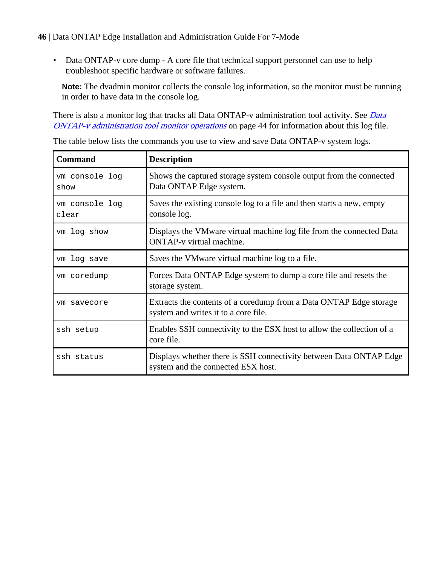• Data ONTAP-v core dump - A core file that technical support personnel can use to help troubleshoot specific hardware or software failures.

**Note:** The dvadmin monitor collects the console log information, so the monitor must be running in order to have data in the console log.

There is also a monitor log that tracks all [Data](#page-43-0) ONTAP-v administration tool activity. See Data [ONTAP-v administration tool monitor operations](#page-43-0) on page 44 for information about this log file.

| <b>Command</b>          | <b>Description</b>                                                                                         |  |
|-------------------------|------------------------------------------------------------------------------------------------------------|--|
| vm console log<br>show  | Shows the captured storage system console output from the connected<br>Data ONTAP Edge system.             |  |
| vm console log<br>clear | Saves the existing console log to a file and then starts a new, empty<br>console log.                      |  |
| vm log show             | Displays the VMware virtual machine log file from the connected Data<br><b>ONTAP-v</b> virtual machine.    |  |
| vm log save             | Saves the VMware virtual machine log to a file.                                                            |  |
| vm coredump             | Forces Data ONTAP Edge system to dump a core file and resets the<br>storage system.                        |  |
| ym savecore             | Extracts the contents of a coredump from a Data ONTAP Edge storage<br>system and writes it to a core file. |  |
| ssh setup               | Enables SSH connectivity to the ESX host to allow the collection of a<br>core file.                        |  |
| ssh status              | Displays whether there is SSH connectivity between Data ONTAP Edge<br>system and the connected ESX host.   |  |

The table below lists the commands you use to view and save Data ONTAP-v system logs.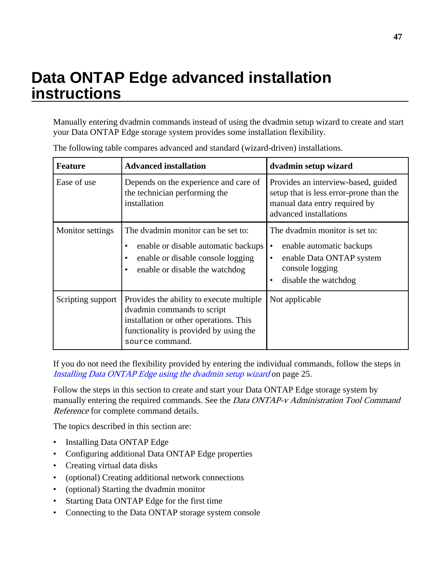# <span id="page-46-0"></span>**Data ONTAP Edge advanced installation instructions**

Manually entering dvadmin commands instead of using the dvadmin setup wizard to create and start your Data ONTAP Edge storage system provides some installation flexibility.

| <b>Feature</b>          | <b>Advanced installation</b>                                                                                                                                                  | dvadmin setup wizard                                                                                                                                     |  |
|-------------------------|-------------------------------------------------------------------------------------------------------------------------------------------------------------------------------|----------------------------------------------------------------------------------------------------------------------------------------------------------|--|
| Ease of use             | Depends on the experience and care of<br>the technician performing the<br>installation                                                                                        | Provides an interview-based, guided<br>setup that is less error-prone than the<br>manual data entry required by<br>advanced installations                |  |
| <b>Monitor settings</b> | The dvadmin monitor can be set to:<br>enable or disable automatic backups<br>٠<br>enable or disable console logging<br>$\bullet$<br>enable or disable the watchdog<br>٠       | The dvadmin monitor is set to:<br>enable automatic backups<br>$\bullet$<br>enable Data ONTAP system<br>٠<br>console logging<br>disable the watchdog<br>٠ |  |
| Scripting support       | Provides the ability to execute multiple<br>dvadmin commands to script<br>installation or other operations. This<br>functionality is provided by using the<br>source command. | Not applicable                                                                                                                                           |  |

The following table compares advanced and standard (wizard-driven) installations.

If you do not need the flexibility provided by entering the individual commands, follow the steps in [Installing Data ONTAP Edge using the dvadmin setup wizard](#page-24-0) on page 25.

Follow the steps in this section to create and start your Data ONTAP Edge storage system by manually entering the required commands. See the Data ONTAP-v Administration Tool Command Reference for complete command details.

The topics described in this section are:

- Installing Data ONTAP Edge
- Configuring additional Data ONTAP Edge properties
- Creating virtual data disks
- (optional) Creating additional network connections
- (optional) Starting the dvadmin monitor
- Starting Data ONTAP Edge for the first time
- Connecting to the Data ONTAP storage system console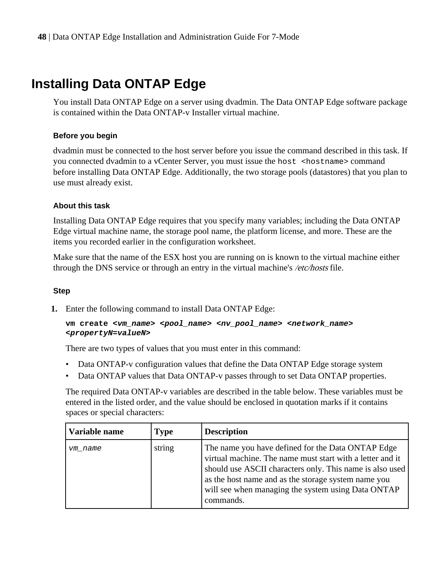## <span id="page-47-0"></span>**Installing Data ONTAP Edge**

You install Data ONTAP Edge on a server using dvadmin. The Data ONTAP Edge software package is contained within the Data ONTAP-v Installer virtual machine.

#### **Before you begin**

dvadmin must be connected to the host server before you issue the command described in this task. If you connected dvadmin to a vCenter Server, you must issue the host <hostname> command before installing Data ONTAP Edge. Additionally, the two storage pools (datastores) that you plan to use must already exist.

#### **About this task**

Installing Data ONTAP Edge requires that you specify many variables; including the Data ONTAP Edge virtual machine name, the storage pool name, the platform license, and more. These are the items you recorded earlier in the configuration worksheet.

Make sure that the name of the ESX host you are running on is known to the virtual machine either through the DNS service or through an entry in the virtual machine's /etc/hosts file.

#### **Step**

**1.** Enter the following command to install Data ONTAP Edge:

```
vm create <vm_name> <pool_name> <nv_pool_name> <network_name>
<propertyN=valueN>
```
There are two types of values that you must enter in this command:

- Data ONTAP-v configuration values that define the Data ONTAP Edge storage system
- Data ONTAP values that Data ONTAP-v passes through to set Data ONTAP properties.

The required Data ONTAP-v variables are described in the table below. These variables must be entered in the listed order, and the value should be enclosed in quotation marks if it contains spaces or special characters:

| Variable name | <b>Type</b> | <b>Description</b>                                                                                                                                                                                                                                                                                   |
|---------------|-------------|------------------------------------------------------------------------------------------------------------------------------------------------------------------------------------------------------------------------------------------------------------------------------------------------------|
| vm name       | string      | The name you have defined for the Data ONTAP Edge<br>virtual machine. The name must start with a letter and it<br>should use ASCII characters only. This name is also used<br>as the host name and as the storage system name you<br>will see when managing the system using Data ONTAP<br>commands. |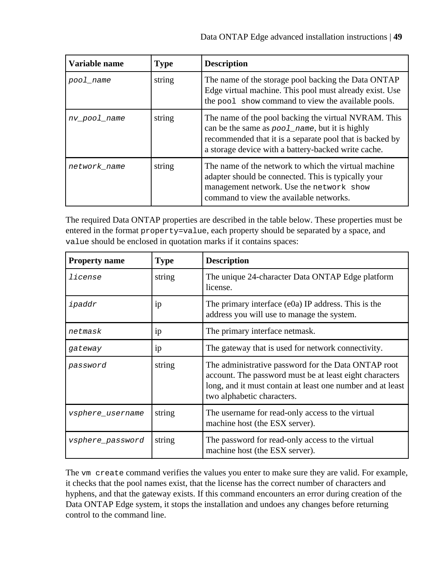| Variable name | <b>Type</b> | <b>Description</b>                                                                                                                                                                                                        |
|---------------|-------------|---------------------------------------------------------------------------------------------------------------------------------------------------------------------------------------------------------------------------|
| pool name     | string      | The name of the storage pool backing the Data ONTAP<br>Edge virtual machine. This pool must already exist. Use<br>the pool show command to view the available pools.                                                      |
| nv pool name  | string      | The name of the pool backing the virtual NVRAM. This<br>can be the same as pool_name, but it is highly<br>recommended that it is a separate pool that is backed by<br>a storage device with a battery-backed write cache. |
| network name  | string      | The name of the network to which the virtual machine<br>adapter should be connected. This is typically your<br>management network. Use the network show<br>command to view the available networks.                        |

The required Data ONTAP properties are described in the table below. These properties must be entered in the format property=value, each property should be separated by a space, and value should be enclosed in quotation marks if it contains spaces:

| <b>Property name</b>    | <b>Type</b> | <b>Description</b>                                                                                                                                                                                         |
|-------------------------|-------------|------------------------------------------------------------------------------------------------------------------------------------------------------------------------------------------------------------|
| license                 | string      | The unique 24-character Data ONTAP Edge platform<br>license.                                                                                                                                               |
| ipaddr                  | 1p          | The primary interface $(e0a)$ IP address. This is the<br>address you will use to manage the system.                                                                                                        |
| netmask                 | 1p          | The primary interface netmask.                                                                                                                                                                             |
| gateway                 | 1p          | The gateway that is used for network connectivity.                                                                                                                                                         |
| password                | string      | The administrative password for the Data ONTAP root<br>account. The password must be at least eight characters<br>long, and it must contain at least one number and at least<br>two alphabetic characters. |
| <i>vsphere_username</i> | string      | The username for read-only access to the virtual<br>machine host (the ESX server).                                                                                                                         |
| vsphere_password        | string      | The password for read-only access to the virtual<br>machine host (the ESX server).                                                                                                                         |

The vm create command verifies the values you enter to make sure they are valid. For example, it checks that the pool names exist, that the license has the correct number of characters and hyphens, and that the gateway exists. If this command encounters an error during creation of the Data ONTAP Edge system, it stops the installation and undoes any changes before returning control to the command line.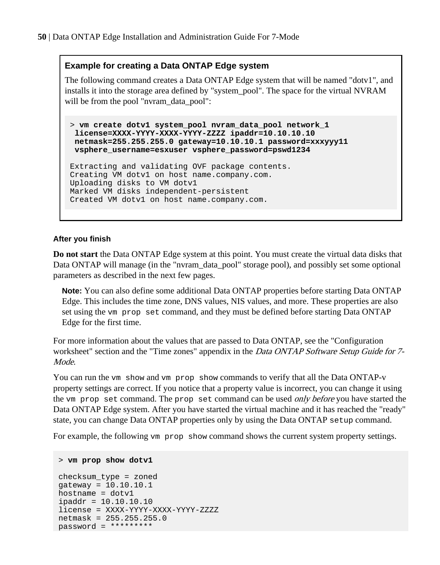#### **Example for creating a Data ONTAP Edge system**

The following command creates a Data ONTAP Edge system that will be named "dotv1", and installs it into the storage area defined by "system\_pool". The space for the virtual NVRAM will be from the pool "nvram\_data\_pool":

> **vm create dotv1 system\_pool nvram\_data\_pool network\_1 license=XXXX-YYYY-XXXX-YYYY-ZZZZ ipaddr=10.10.10.10 netmask=255.255.255.0 gateway=10.10.10.1 password=xxxyyy11 vsphere\_username=esxuser vsphere\_password=pswd1234**

```
Extracting and validating OVF package contents.
Creating VM dotv1 on host name.company.com.
Uploading disks to VM dotv1
Marked VM disks independent-persistent
Created VM dotv1 on host name.company.com.
```
#### **After you finish**

**Do not start** the Data ONTAP Edge system at this point. You must create the virtual data disks that Data ONTAP will manage (in the "nvram\_data\_pool" storage pool), and possibly set some optional parameters as described in the next few pages.

**Note:** You can also define some additional Data ONTAP properties before starting Data ONTAP Edge. This includes the time zone, DNS values, NIS values, and more. These properties are also set using the vm prop set command, and they must be defined before starting Data ONTAP Edge for the first time.

For more information about the values that are passed to Data ONTAP, see the "Configuration worksheet" section and the "Time zones" appendix in the *Data ONTAP Software Setup Guide for* 7-Mode.

You can run the vm show and vm prop show commands to verify that all the Data ONTAP-v property settings are correct. If you notice that a property value is incorrect, you can change it using the vm prop set command. The prop set command can be used only before you have started the Data ONTAP Edge system. After you have started the virtual machine and it has reached the "ready" state, you can change Data ONTAP properties only by using the Data ONTAP setup command.

For example, the following vm prop show command shows the current system property settings.

```
> vm prop show dotv1
```

```
checksum_type = zoned
gateway = 10.10.10.1
hostname = dotvlipaddr = 10.10.10.10
license = XXXX-YYYY-XXXX-YYYY-ZZZZ
netmask = 255.255.255.0
password = *********
```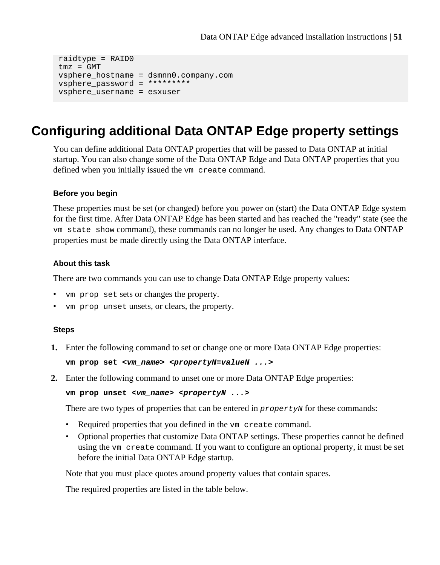```
raidtype = RAID0
tmz = GMT
vsphere_hostname = dsmnn0.company.com
vsphere_password = *********
vsphere_username = esxuser
```
## **Configuring additional Data ONTAP Edge property settings**

You can define additional Data ONTAP properties that will be passed to Data ONTAP at initial startup. You can also change some of the Data ONTAP Edge and Data ONTAP properties that you defined when you initially issued the vm create command.

#### **Before you begin**

These properties must be set (or changed) before you power on (start) the Data ONTAP Edge system for the first time. After Data ONTAP Edge has been started and has reached the "ready" state (see the vm state show command), these commands can no longer be used. Any changes to Data ONTAP properties must be made directly using the Data ONTAP interface.

#### **About this task**

There are two commands you can use to change Data ONTAP Edge property values:

- vm prop set sets or changes the property.
- vm prop unset unsets, or clears, the property.

#### **Steps**

**1.** Enter the following command to set or change one or more Data ONTAP Edge properties:

```
vm prop set <vm_name> <propertyN=valueN ...>
```
**2.** Enter the following command to unset one or more Data ONTAP Edge properties:

```
vm prop unset <vm_name> <propertyN ...>
```
There are two types of properties that can be entered in *propertyN* for these commands:

- Required properties that you defined in the vm create command.
- Optional properties that customize Data ONTAP settings. These properties cannot be defined using the vm create command. If you want to configure an optional property, it must be set before the initial Data ONTAP Edge startup.

Note that you must place quotes around property values that contain spaces.

The required properties are listed in the table below.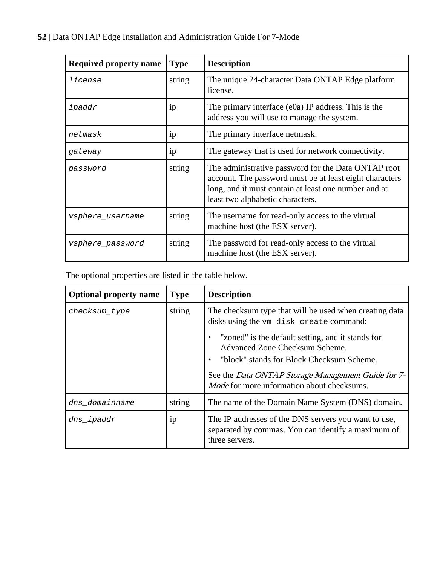| <b>Required property name</b> | <b>Type</b> | <b>Description</b>                                                                                                                                                                                         |  |
|-------------------------------|-------------|------------------------------------------------------------------------------------------------------------------------------------------------------------------------------------------------------------|--|
| license                       | string      | The unique 24-character Data ONTAP Edge platform<br>license.                                                                                                                                               |  |
| ipaddr                        | 1p          | The primary interface $(e0a)$ IP address. This is the<br>address you will use to manage the system.                                                                                                        |  |
| netmask                       | 1p          | The primary interface netmask.                                                                                                                                                                             |  |
| gateway                       | ip          | The gateway that is used for network connectivity.                                                                                                                                                         |  |
| password                      | string      | The administrative password for the Data ONTAP root<br>account. The password must be at least eight characters<br>long, and it must contain at least one number and at<br>least two alphabetic characters. |  |
| vsphere_username              | string      | The username for read-only access to the virtual<br>machine host (the ESX server).                                                                                                                         |  |
| vsphere_password              | string      | The password for read-only access to the virtual<br>machine host (the ESX server).                                                                                                                         |  |

The optional properties are listed in the table below.

| <b>Optional property name</b> | <b>Type</b> | <b>Description</b>                                                                                                                                                                               |  |
|-------------------------------|-------------|--------------------------------------------------------------------------------------------------------------------------------------------------------------------------------------------------|--|
| checksum_type                 | string      | The checksum type that will be used when creating data<br>disks using the vm disk create command:                                                                                                |  |
|                               |             | "zoned" is the default setting, and it stands for<br>٠<br>Advanced Zone Checksum Scheme.<br>"block" stands for Block Checksum Scheme.<br>٠<br>See the Data ONTAP Storage Management Guide for 7- |  |
|                               |             | <i>Mode</i> for more information about checksums.                                                                                                                                                |  |
| dns domainname                | string      | The name of the Domain Name System (DNS) domain.                                                                                                                                                 |  |
| dns_ipaddr                    | ip          | The IP addresses of the DNS servers you want to use,<br>separated by commas. You can identify a maximum of<br>three servers.                                                                     |  |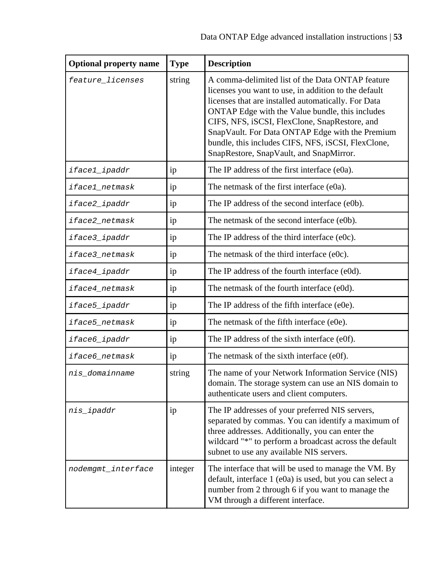| <b>Optional property name</b> | <b>Type</b> | <b>Description</b>                                                                                                                                                                                                                                                                                                                                                                                                      |  |
|-------------------------------|-------------|-------------------------------------------------------------------------------------------------------------------------------------------------------------------------------------------------------------------------------------------------------------------------------------------------------------------------------------------------------------------------------------------------------------------------|--|
| feature_licenses              | string      | A comma-delimited list of the Data ONTAP feature<br>licenses you want to use, in addition to the default<br>licenses that are installed automatically. For Data<br>ONTAP Edge with the Value bundle, this includes<br>CIFS, NFS, iSCSI, FlexClone, SnapRestore, and<br>SnapVault. For Data ONTAP Edge with the Premium<br>bundle, this includes CIFS, NFS, iSCSI, FlexClone,<br>SnapRestore, SnapVault, and SnapMirror. |  |
| iface1_ipaddr                 | ip          | The IP address of the first interface (e0a).                                                                                                                                                                                                                                                                                                                                                                            |  |
| iface1_netmask                | ip          | The netmask of the first interface (e0a).                                                                                                                                                                                                                                                                                                                                                                               |  |
| iface2_ipaddr                 | ip          | The IP address of the second interface (e0b).                                                                                                                                                                                                                                                                                                                                                                           |  |
| iface2_netmask                | ip          | The netmask of the second interface (e0b).                                                                                                                                                                                                                                                                                                                                                                              |  |
| iface3_ipaddr                 | ip          | The IP address of the third interface (e0c).                                                                                                                                                                                                                                                                                                                                                                            |  |
| iface3_netmask                | ip          | The netmask of the third interface (e0c).                                                                                                                                                                                                                                                                                                                                                                               |  |
| iface4_ipaddr                 | ip          | The IP address of the fourth interface (e0d).                                                                                                                                                                                                                                                                                                                                                                           |  |
| iface4 netmask                | ip          | The netmask of the fourth interface (e0d).                                                                                                                                                                                                                                                                                                                                                                              |  |
| iface5_ipaddr                 | ip          | The IP address of the fifth interface (e0e).                                                                                                                                                                                                                                                                                                                                                                            |  |
| iface5_netmask                | ip          | The netmask of the fifth interface (e0e).                                                                                                                                                                                                                                                                                                                                                                               |  |
| iface6_ipaddr                 | ip          | The IP address of the sixth interface (e0f).                                                                                                                                                                                                                                                                                                                                                                            |  |
| iface6_netmask                | ip          | The netmask of the sixth interface (e0f).                                                                                                                                                                                                                                                                                                                                                                               |  |
| nis domainname                | string      | The name of your Network Information Service (NIS)<br>domain. The storage system can use an NIS domain to<br>authenticate users and client computers.                                                                                                                                                                                                                                                                   |  |
| nis_ipaddr                    | ip          | The IP addresses of your preferred NIS servers,<br>separated by commas. You can identify a maximum of<br>three addresses. Additionally, you can enter the<br>wildcard "*" to perform a broadcast across the default<br>subnet to use any available NIS servers.                                                                                                                                                         |  |
| nodemgmt_interface            | integer     | The interface that will be used to manage the VM. By<br>default, interface 1 (e0a) is used, but you can select a<br>number from 2 through 6 if you want to manage the<br>VM through a different interface.                                                                                                                                                                                                              |  |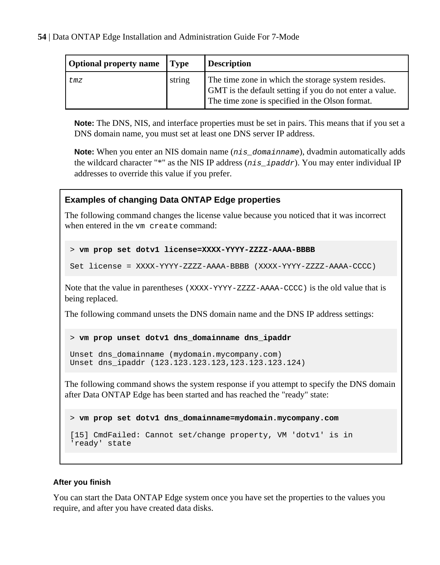| <b>Optional property name</b> | <b>Type</b> | <b>Description</b>                                                                                                                                               |
|-------------------------------|-------------|------------------------------------------------------------------------------------------------------------------------------------------------------------------|
| tmz                           | string      | The time zone in which the storage system resides.<br>GMT is the default setting if you do not enter a value.<br>The time zone is specified in the Olson format. |

**Note:** The DNS, NIS, and interface properties must be set in pairs. This means that if you set a DNS domain name, you must set at least one DNS server IP address.

**Note:** When you enter an NIS domain name ( $nis\_domain$  name), dvadmin automatically adds the wildcard character "\*" as the NIS IP address ( $nis\_ipaddr$ ). You may enter individual IP addresses to override this value if you prefer.

#### **Examples of changing Data ONTAP Edge properties**

The following command changes the license value because you noticed that it was incorrect when entered in the vm create command:

```
> vm prop set dotv1 license=XXXX-YYYY-ZZZZ-AAAA-BBBB
```

```
Set license = XXXX-YYYY-ZZZZ-AAAA-BBBB (XXXX-YYYY-ZZZZ-AAAA-CCCC)
```
Note that the value in parentheses (XXXX-YYYY-ZZZZ-AAAA-CCCC) is the old value that is being replaced.

The following command unsets the DNS domain name and the DNS IP address settings:

#### > **vm prop unset dotv1 dns\_domainname dns\_ipaddr**

```
Unset dns_domainname (mydomain.mycompany.com)
Unset dns_ipaddr (123.123.123.123,123.123.123.124)
```
The following command shows the system response if you attempt to specify the DNS domain after Data ONTAP Edge has been started and has reached the "ready" state:

> **vm prop set dotv1 dns\_domainname=mydomain.mycompany.com**

```
[15] CmdFailed: Cannot set/change property, VM 'dotv1' is in 
'ready' state
```
#### **After you finish**

You can start the Data ONTAP Edge system once you have set the properties to the values you require, and after you have created data disks.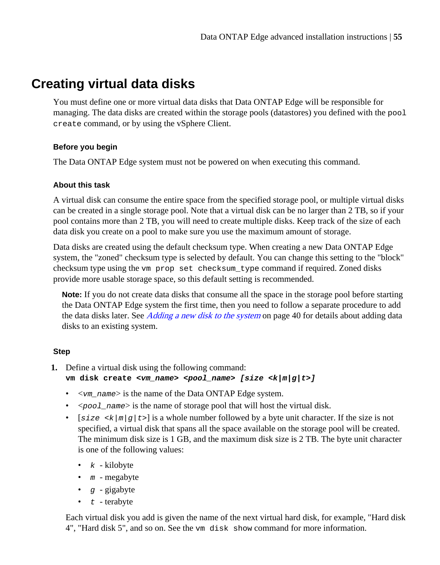## <span id="page-54-0"></span>**Creating virtual data disks**

You must define one or more virtual data disks that Data ONTAP Edge will be responsible for managing. The data disks are created within the storage pools (datastores) you defined with the pool create command, or by using the vSphere Client.

#### **Before you begin**

The Data ONTAP Edge system must not be powered on when executing this command.

#### **About this task**

A virtual disk can consume the entire space from the specified storage pool, or multiple virtual disks can be created in a single storage pool. Note that a virtual disk can be no larger than 2 TB, so if your pool contains more than 2 TB, you will need to create multiple disks. Keep track of the size of each data disk you create on a pool to make sure you use the maximum amount of storage.

Data disks are created using the default checksum type. When creating a new Data ONTAP Edge system, the "zoned" checksum type is selected by default. You can change this setting to the "block" checksum type using the vm prop set checksum\_type command if required. Zoned disks provide more usable storage space, so this default setting is recommended.

**Note:** If you do not create data disks that consume all the space in the storage pool before starting the Data ONTAP Edge system the first time, then you need to follow a separate procedure to add the data disks later. See *[Adding a new disk to the system](#page-39-0)* on page 40 for details about adding data disks to an existing system.

#### **Step**

**1.** Define a virtual disk using the following command:

```
vm disk create <vm_name> <pool_name> [size <k|m|g|t>]
```
- $\langle \nabla m \rangle$  name is the name of the Data ONTAP Edge system.
- $\langle pool\_name \rangle$  is the name of storage pool that will host the virtual disk.
- [size  $\langle k/m|g/t\rangle$ ] is a whole number followed by a byte unit character. If the size is not specified, a virtual disk that spans all the space available on the storage pool will be created. The minimum disk size is 1 GB, and the maximum disk size is 2 TB. The byte unit character is one of the following values:
	- $k$  kilobyte
	- $\bullet$  m megabyte
	- $g$  gigabyte
	- $t$  terabyte

Each virtual disk you add is given the name of the next virtual hard disk, for example, "Hard disk 4", "Hard disk 5", and so on. See the vm disk show command for more information.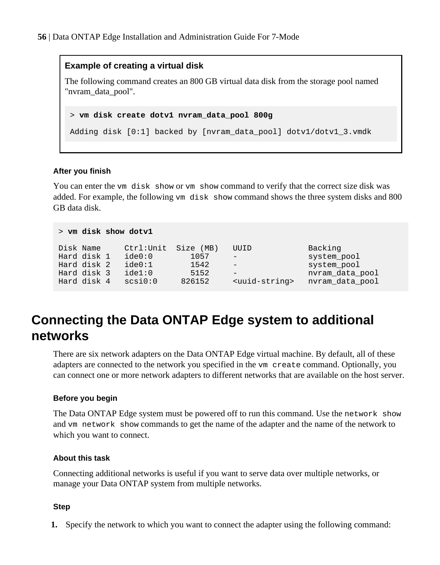#### **Example of creating a virtual disk**

The following command creates an 800 GB virtual data disk from the storage pool named "nvram\_data\_pool".

```
> vm disk create dotv1 nvram_data_pool 800g
```
Adding disk [0:1] backed by [nvram\_data\_pool] dotv1/dotv1\_3.vmdk

#### **After you finish**

You can enter the vm disk show or vm show command to verify that the correct size disk was added. For example, the following vm disk show command shows the three system disks and 800 GB data disk.

```
> vm disk show dotv1
```

| Disk Name   | Ctrl: Unit Size (MB) |        | UUID                        | Backing         |
|-------------|----------------------|--------|-----------------------------|-----------------|
| Hard disk 1 | ide0:0               | 1057   | $\overline{\phantom{a}}$    | system pool     |
| Hard disk 2 | ide0:1               | 1542   | $-$                         | system_pool     |
| Hard disk 3 | ide1:0               | 5152   | $\equiv$                    | nvram data pool |
| Hard disk 4 | scs10:0              | 826152 | <uuid-string></uuid-string> | nvram data pool |

## **Connecting the Data ONTAP Edge system to additional networks**

There are six network adapters on the Data ONTAP Edge virtual machine. By default, all of these adapters are connected to the network you specified in the vm create command. Optionally, you can connect one or more network adapters to different networks that are available on the host server.

#### **Before you begin**

The Data ONTAP Edge system must be powered off to run this command. Use the network show and vm network show commands to get the name of the adapter and the name of the network to which you want to connect.

#### **About this task**

Connecting additional networks is useful if you want to serve data over multiple networks, or manage your Data ONTAP system from multiple networks.

#### **Step**

**1.** Specify the network to which you want to connect the adapter using the following command: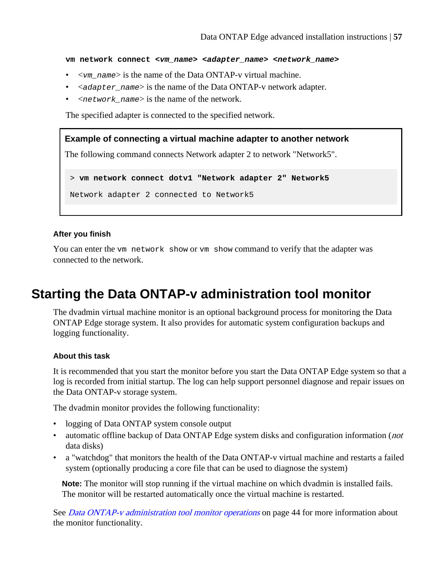<span id="page-56-0"></span>**vm network connect <vm\_name> <adapter\_name> <network\_name>**

- $\langle \nabla m \rangle$  name is the name of the Data ONTAP-v virtual machine.
- $\leq$   $\leq$   $\leq$   $\leq$   $\leq$   $\leq$   $\leq$   $\leq$   $\leq$   $\leq$   $\leq$   $\leq$   $\leq$   $\leq$   $\leq$   $\leq$   $\leq$   $\leq$   $\leq$   $\leq$   $\leq$   $\leq$   $\leq$   $\leq$   $\leq$   $\leq$   $\leq$   $\leq$   $\leq$   $\leq$   $\leq$   $\leq$   $\leq$   $\leq$   $\leq$   $\leq$   $\le$
- $\leq$  network\_name> is the name of the network.

The specified adapter is connected to the specified network.

#### **Example of connecting a virtual machine adapter to another network**

The following command connects Network adapter 2 to network "Network5".

> **vm network connect dotv1 "Network adapter 2" Network5**

Network adapter 2 connected to Network5

#### **After you finish**

You can enter the vm network show or vm show command to verify that the adapter was connected to the network.

### **Starting the Data ONTAP-v administration tool monitor**

The dvadmin virtual machine monitor is an optional background process for monitoring the Data ONTAP Edge storage system. It also provides for automatic system configuration backups and logging functionality.

#### **About this task**

It is recommended that you start the monitor before you start the Data ONTAP Edge system so that a log is recorded from initial startup. The log can help support personnel diagnose and repair issues on the Data ONTAP-v storage system.

The dvadmin monitor provides the following functionality:

- logging of Data ONTAP system console output
- automatic offline backup of Data ONTAP Edge system disks and configuration information (*not* data disks)
- a "watchdog" that monitors the health of the Data ONTAP-v virtual machine and restarts a failed system (optionally producing a core file that can be used to diagnose the system)

**Note:** The monitor will stop running if the virtual machine on which dvadmin is installed fails. The monitor will be restarted automatically once the virtual machine is restarted.

See *[Data ONTAP-v administration tool monitor operations](#page-43-0)* on page 44 for more information about the monitor functionality.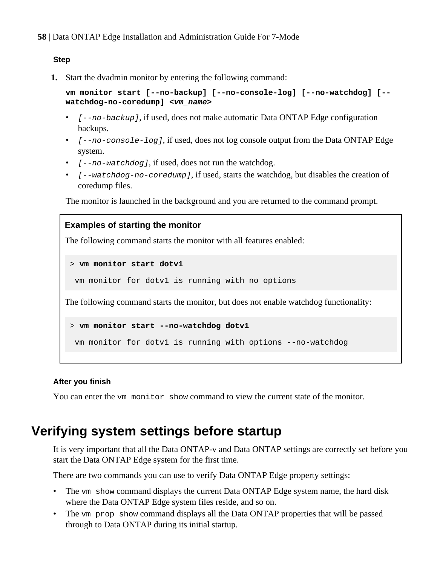#### <span id="page-57-0"></span>**Step**

**1.** Start the dvadmin monitor by entering the following command:

**vm monitor start [--no-backup] [--no-console-log] [--no-watchdog] [- watchdog-no-coredump] <vm\_name>**

- $[--no-backup]$ , if used, does not make automatic Data ONTAP Edge configuration backups.
- $[--no-console-log]$ , if used, does not log console output from the Data ONTAP Edge system.
- $[--no-watchdog]$ , if used, does not run the watchdog.
- $[--w \text{ at } c \text{ h } d \text{ or } c \text{ or } c \text{ and } w \text{ is } 1]$ , if used, starts the watchdog, but disables the creation of coredump files.

The monitor is launched in the background and you are returned to the command prompt.

## **Examples of starting the monitor** The following command starts the monitor with all features enabled: > **vm monitor start dotv1**

vm monitor for dotv1 is running with no options

The following command starts the monitor, but does not enable watchdog functionality:

```
> vm monitor start --no-watchdog dotv1
```
vm monitor for dotv1 is running with options --no-watchdog

#### **After you finish**

You can enter the vm monitor show command to view the current state of the monitor.

### **Verifying system settings before startup**

It is very important that all the Data ONTAP-v and Data ONTAP settings are correctly set before you start the Data ONTAP Edge system for the first time.

There are two commands you can use to verify Data ONTAP Edge property settings:

- The vm show command displays the current Data ONTAP Edge system name, the hard disk where the Data ONTAP Edge system files reside, and so on.
- The vm prop show command displays all the Data ONTAP properties that will be passed through to Data ONTAP during its initial startup.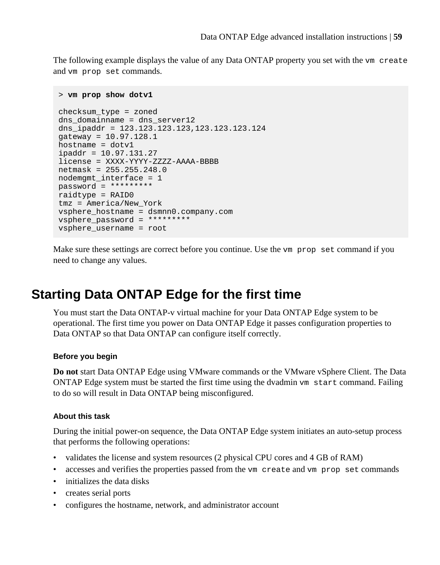<span id="page-58-0"></span>The following example displays the value of any Data ONTAP property you set with the vm create and vm prop set commands.

```
> vm prop show dotv1
checksum_type = zoned
dns domainname = dns server12
dns_ipaddr = 123.123.123.123,123.123.123.124
gateway = 10.97.128.1
hostname = dotv1
ipaddr = 10.97.131.27
license = XXXX-YYYY-ZZZZ-AAAA-BBBB
netmask = 255.255.248.0
nodemgmt_interface = 1
password = *********
raidtype = RAID0
tmz = America/New_York
vsphere_hostname = dsmnn0.company.com
vsphere_password = *********
vsphere_username = root
```
Make sure these settings are correct before you continue. Use the vm prop set command if you need to change any values.

## **Starting Data ONTAP Edge for the first time**

You must start the Data ONTAP-v virtual machine for your Data ONTAP Edge system to be operational. The first time you power on Data ONTAP Edge it passes configuration properties to Data ONTAP so that Data ONTAP can configure itself correctly.

#### **Before you begin**

**Do not** start Data ONTAP Edge using VMware commands or the VMware vSphere Client. The Data ONTAP Edge system must be started the first time using the dvadmin vm start command. Failing to do so will result in Data ONTAP being misconfigured.

#### **About this task**

During the initial power-on sequence, the Data ONTAP Edge system initiates an auto-setup process that performs the following operations:

- validates the license and system resources (2 physical CPU cores and 4 GB of RAM)
- accesses and verifies the properties passed from the vm create and vm prop set commands
- initializes the data disks
- creates serial ports
- configures the hostname, network, and administrator account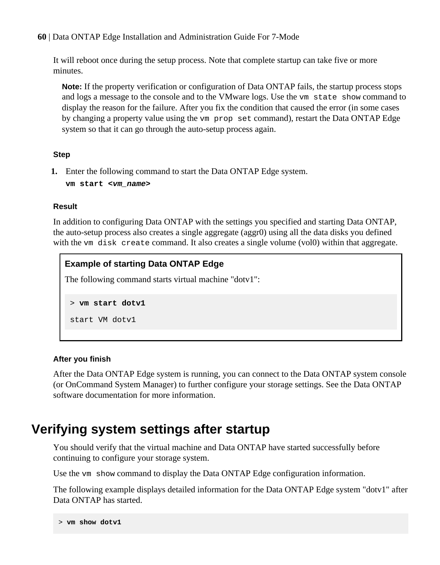<span id="page-59-0"></span>It will reboot once during the setup process. Note that complete startup can take five or more minutes.

**Note:** If the property verification or configuration of Data ONTAP fails, the startup process stops and logs a message to the console and to the VMware logs. Use the vm state show command to display the reason for the failure. After you fix the condition that caused the error (in some cases by changing a property value using the vm prop set command), restart the Data ONTAP Edge system so that it can go through the auto-setup process again.

#### **Step**

**1.** Enter the following command to start the Data ONTAP Edge system.

```
vm start <vm_name>
```
#### **Result**

In addition to configuring Data ONTAP with the settings you specified and starting Data ONTAP, the auto-setup process also creates a single aggregate (aggr0) using all the data disks you defined with the vm disk create command. It also creates a single volume (vol0) within that aggregate.

```
Example of starting Data ONTAP Edge
The following command starts virtual machine "dotv1":
 > vm start dotv1
```
start VM dotv1

#### **After you finish**

After the Data ONTAP Edge system is running, you can connect to the Data ONTAP system console (or OnCommand System Manager) to further configure your storage settings. See the Data ONTAP software documentation for more information.

### **Verifying system settings after startup**

You should verify that the virtual machine and Data ONTAP have started successfully before continuing to configure your storage system.

Use the vm show command to display the Data ONTAP Edge configuration information.

The following example displays detailed information for the Data ONTAP Edge system "dotv1" after Data ONTAP has started.

```
> vm show dotv1
```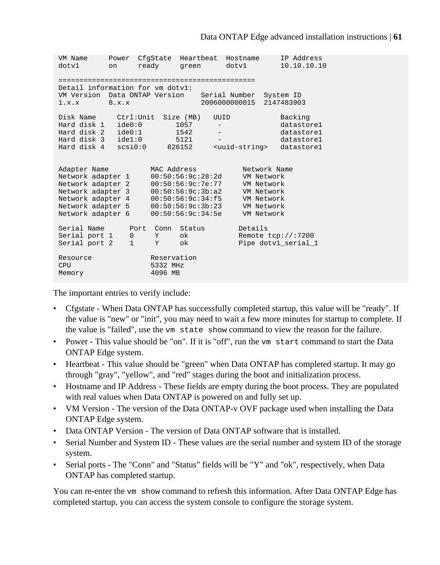VM Name Power CfgState Heartbeat Hostname IP Address dotv1 on ready green dotv1 10.10.10.10 =============================================== Detail information for vm dotv1: VM Version Data ONTAP Version Serial Number System ID 1.x.x 8.x.x 2006000000015 2147483903 Disk Name Ctrl:Unit Size (MB) UUID Backing Hard disk 1 ide0:0 1057 - datastore1 Hard disk 2 ide0:1 1542 - datastore1 Hard disk 3 ide1:0 5121 - datastore1 Hard disk 4 scsi0:0 826152 <uuid-string> datastore1 Adapter Name MAC Address Network Name Network adapter 1 00:50:56:9c:28:2d VM Network Network adapter 2 00:50:56:9c:7e:77 VM Network Network adapter 3 00:50:56:9c:3b:a2 VM Network Network adapter 4 00:50:56:9c:34:f5 VM Network Network adapter 5 00:50:56:9c:3b:23 VM Network Network adapter 6 00:50:56:9c:34:5e VM Network Serial Name Port Conn Status Details Serial port 1 0 Y ok Remote tcp://:7200 Serial port 2 1 Y ok Pipe dotvl\_serial\_1 Resource Reservation CPU 5332 MHz Memory 4096 MB

The important entries to verify include:

- Cfgstate When Data ONTAP has successfully completed startup, this value will be "ready". If the value is "new" or "init", you may need to wait a few more minutes for startup to complete. If the value is "failed", use the vm state show command to view the reason for the failure.
- Power This value should be "on". If it is "off", run the vm start command to start the Data ONTAP Edge system.
- Heartbeat This value should be "green" when Data ONTAP has completed startup. It may go through "gray", "yellow", and "red" stages during the boot and initialization process.
- Hostname and IP Address These fields are empty during the boot process. They are populated with real values when Data ONTAP is powered on and fully set up.
- VM Version The version of the Data ONTAP-v OVF package used when installing the Data ONTAP Edge system.
- Data ONTAP Version The version of Data ONTAP software that is installed.
- Serial Number and System ID These values are the serial number and system ID of the storage system.
- Serial ports The "Conn" and "Status" fields will be "Y" and "ok", respectively, when Data ONTAP has completed startup.

You can re-enter the vm show command to refresh this information. After Data ONTAP Edge has completed startup, you can access the system console to configure the storage system.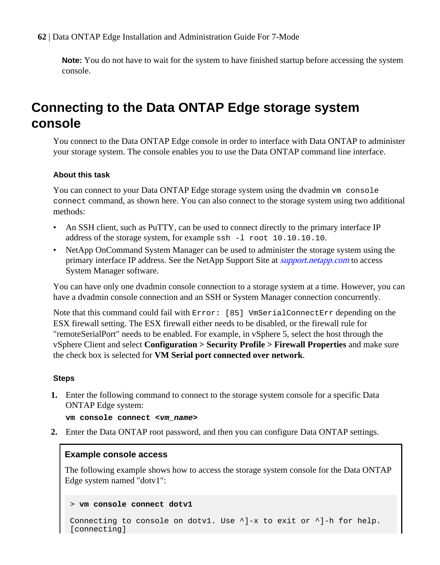<span id="page-61-0"></span>**Note:** You do not have to wait for the system to have finished startup before accessing the system console.

## **Connecting to the Data ONTAP Edge storage system console**

You connect to the Data ONTAP Edge console in order to interface with Data ONTAP to administer your storage system. The console enables you to use the Data ONTAP command line interface.

#### **About this task**

You can connect to your Data ONTAP Edge storage system using the dvadmin vm console connect command, as shown here. You can also connect to the storage system using two additional methods:

- An SSH client, such as PuTTY, can be used to connect directly to the primary interface IP address of the storage system, for example ssh -l root 10.10.10.10.
- NetApp OnCommand System Manager can be used to administer the storage system using the primary interface IP address. See the NetApp Support Site at *[support.netapp.com](http://support.netapp.com/)* to access System Manager software.

You can have only one dvadmin console connection to a storage system at a time. However, you can have a dvadmin console connection and an SSH or System Manager connection concurrently.

Note that this command could fail with Error: [85] VmSerialConnectErr depending on the ESX firewall setting. The ESX firewall either needs to be disabled, or the firewall rule for "remoteSerialPort" needs to be enabled. For example, in vSphere 5, select the host through the vSphere Client and select **Configuration > Security Profile > Firewall Properties** and make sure the check box is selected for **VM Serial port connected over network**.

#### **Steps**

**1.** Enter the following command to connect to the storage system console for a specific Data ONTAP Edge system:

```
vm console connect <vm_name>
```
**2.** Enter the Data ONTAP root password, and then you can configure Data ONTAP settings.

#### **Example console access**

The following example shows how to access the storage system console for the Data ONTAP Edge system named "dotv1":

```
> vm console connect dotv1
```

```
Connecting to console on dotv1. Use \lambda]-x to exit or \lambda]-h for help.
[connecting]
```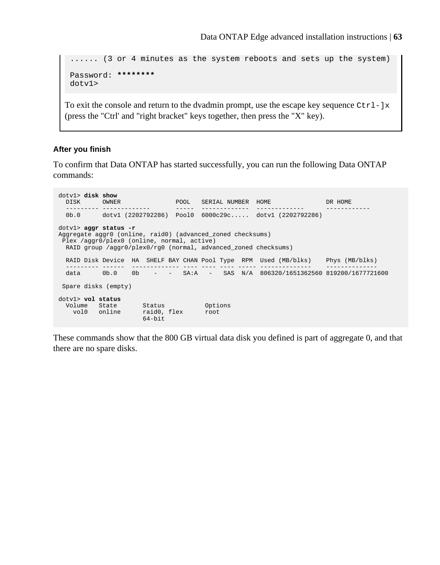...... (3 or 4 minutes as the system reboots and sets up the system) Password: **\*\*\*\*\*\*\*\*** dotv1>

To exit the console and return to the dvadmin prompt, use the escape key sequence  $C \text{tr} 1 - ]x$ (press the "Ctrl' and "right bracket" keys together, then press the "X" key).

#### **After you finish**

To confirm that Data ONTAP has started successfully, you can run the following Data ONTAP commands:

dotv1> **disk show** DISK OWNER POOL SERIAL NUMBER HOME DR HOME --------- ------------- ----- ------------- ------------- ------------ 0b.0 dotv1 (2202792286) Pool0 6000c29c..... dotv1 (2202792286) dotv1> **aggr status -r** Aggregate aggr0 (online, raid0) (advanced\_zoned checksums) Plex /aggr0/plex0 (online, normal, active) RAID group /aggr0/plex0/rg0 (normal, advanced\_zoned checksums) RAID Disk Device HA SHELF BAY CHAN Pool Type RPM Used (MB/blks) Phys (MB/blks) --------- ------ ------------- ---- ---- ---- ----- -------------- -------------- data 0b.0 0b - - SA:A - SAS N/A 806320/1651362560 819200/1677721600 Spare disks (empty) dotv1> **vol status** Volume State Status Options vol0 online raid0, flex root 64-bit

These commands show that the 800 GB virtual data disk you defined is part of aggregate 0, and that there are no spare disks.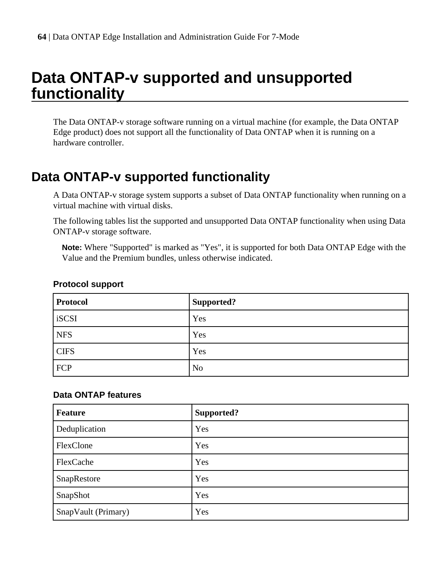# <span id="page-63-0"></span>**Data ONTAP-v supported and unsupported functionality**

The Data ONTAP-v storage software running on a virtual machine (for example, the Data ONTAP Edge product) does not support all the functionality of Data ONTAP when it is running on a hardware controller.

## **Data ONTAP-v supported functionality**

A Data ONTAP-v storage system supports a subset of Data ONTAP functionality when running on a virtual machine with virtual disks.

The following tables list the supported and unsupported Data ONTAP functionality when using Data ONTAP-v storage software.

**Note:** Where "Supported" is marked as "Yes", it is supported for both Data ONTAP Edge with the Value and the Premium bundles, unless otherwise indicated.

| Protocol    | Supported?     |
|-------------|----------------|
| iSCSI       | Yes            |
| <b>NFS</b>  | Yes            |
| <b>CIFS</b> | Yes            |
| <b>FCP</b>  | N <sub>o</sub> |

#### **Protocol support**

#### **Data ONTAP features**

| <b>Feature</b>      | Supported? |
|---------------------|------------|
| Deduplication       | Yes        |
| FlexClone           | Yes        |
| FlexCache           | Yes        |
| SnapRestore         | Yes        |
| SnapShot            | Yes        |
| SnapVault (Primary) | Yes        |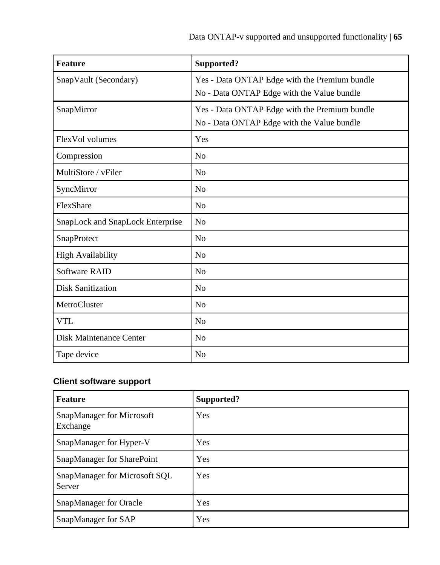| <b>Feature</b>                   | Supported?                                                                                  |
|----------------------------------|---------------------------------------------------------------------------------------------|
| SnapVault (Secondary)            | Yes - Data ONTAP Edge with the Premium bundle<br>No - Data ONTAP Edge with the Value bundle |
| SnapMirror                       | Yes - Data ONTAP Edge with the Premium bundle<br>No - Data ONTAP Edge with the Value bundle |
| FlexVol volumes                  | Yes                                                                                         |
| Compression                      | No                                                                                          |
| MultiStore / vFiler              | N <sub>0</sub>                                                                              |
| SyncMirror                       | N <sub>0</sub>                                                                              |
| FlexShare                        | N <sub>0</sub>                                                                              |
| SnapLock and SnapLock Enterprise | N <sub>0</sub>                                                                              |
| SnapProtect                      | N <sub>0</sub>                                                                              |
| <b>High Availability</b>         | N <sub>0</sub>                                                                              |
| <b>Software RAID</b>             | N <sub>0</sub>                                                                              |
| <b>Disk Sanitization</b>         | N <sub>0</sub>                                                                              |
| MetroCluster                     | N <sub>0</sub>                                                                              |
| <b>VTL</b>                       | N <sub>0</sub>                                                                              |
| Disk Maintenance Center          | N <sub>0</sub>                                                                              |
| Tape device                      | N <sub>0</sub>                                                                              |

### **Client software support**

| <b>Feature</b>                          | Supported? |
|-----------------------------------------|------------|
| SnapManager for Microsoft<br>Exchange   | Yes        |
| SnapManager for Hyper-V                 | Yes        |
| SnapManager for SharePoint              | Yes        |
| SnapManager for Microsoft SQL<br>Server | Yes        |
| SnapManager for Oracle                  | Yes        |
| SnapManager for SAP                     | Yes        |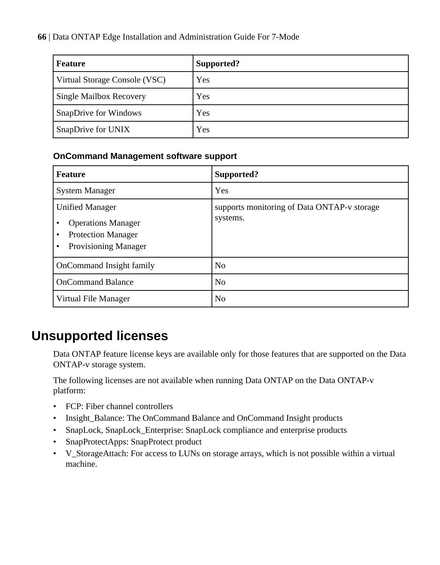| <b>Feature</b>                | Supported? |
|-------------------------------|------------|
| Virtual Storage Console (VSC) | Yes        |
| Single Mailbox Recovery       | Yes        |
| SnapDrive for Windows         | Yes        |
| SnapDrive for UNIX            | Yes        |

#### **OnCommand Management software support**

| <b>Feature</b>                                                                                           | Supported?                                              |  |
|----------------------------------------------------------------------------------------------------------|---------------------------------------------------------|--|
| <b>System Manager</b>                                                                                    | Yes                                                     |  |
| <b>Unified Manager</b><br><b>Operations Manager</b><br><b>Protection Manager</b><br>Provisioning Manager | supports monitoring of Data ONTAP-v storage<br>systems. |  |
| OnCommand Insight family                                                                                 | N <sub>o</sub>                                          |  |
| <b>OnCommand Balance</b>                                                                                 | N <sub>0</sub>                                          |  |
| Virtual File Manager                                                                                     | N <sub>0</sub>                                          |  |

### **Unsupported licenses**

Data ONTAP feature license keys are available only for those features that are supported on the Data ONTAP-v storage system.

The following licenses are not available when running Data ONTAP on the Data ONTAP-v platform:

- FCP: Fiber channel controllers
- Insight\_Balance: The OnCommand Balance and OnCommand Insight products
- SnapLock, SnapLock\_Enterprise: SnapLock compliance and enterprise products
- SnapProtectApps: SnapProtect product
- V\_StorageAttach: For access to LUNs on storage arrays, which is not possible within a virtual machine.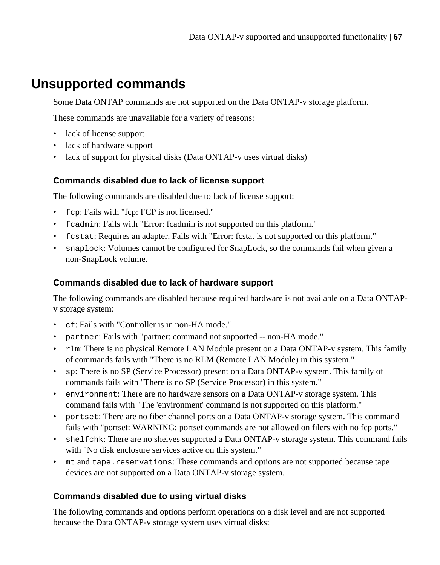## <span id="page-66-0"></span>**Unsupported commands**

Some Data ONTAP commands are not supported on the Data ONTAP-v storage platform.

These commands are unavailable for a variety of reasons:

- lack of license support
- lack of hardware support
- lack of support for physical disks (Data ONTAP-v uses virtual disks)

#### **Commands disabled due to lack of license support**

The following commands are disabled due to lack of license support:

- fcp: Fails with "fcp: FCP is not licensed."
- fcadmin: Fails with "Error: fcadmin is not supported on this platform."
- fcstat: Requires an adapter. Fails with "Error: fcstat is not supported on this platform."
- snaplock: Volumes cannot be configured for SnapLock, so the commands fail when given a non-SnapLock volume.

#### **Commands disabled due to lack of hardware support**

The following commands are disabled because required hardware is not available on a Data ONTAPv storage system:

- cf: Fails with "Controller is in non-HA mode."
- partner: Fails with "partner: command not supported -- non-HA mode."
- rlm: There is no physical Remote LAN Module present on a Data ONTAP-v system. This family of commands fails with "There is no RLM (Remote LAN Module) in this system."
- sp: There is no SP (Service Processor) present on a Data ONTAP-v system. This family of commands fails with "There is no SP (Service Processor) in this system."
- environment: There are no hardware sensors on a Data ONTAP-v storage system. This command fails with "The 'environment' command is not supported on this platform."
- portset: There are no fiber channel ports on a Data ONTAP-v storage system. This command fails with "portset: WARNING: portset commands are not allowed on filers with no fcp ports."
- shelfchk: There are no shelves supported a Data ONTAP-v storage system. This command fails with "No disk enclosure services active on this system."
- mt and tape.reservations: These commands and options are not supported because tape devices are not supported on a Data ONTAP-v storage system.

### **Commands disabled due to using virtual disks**

The following commands and options perform operations on a disk level and are not supported because the Data ONTAP-v storage system uses virtual disks: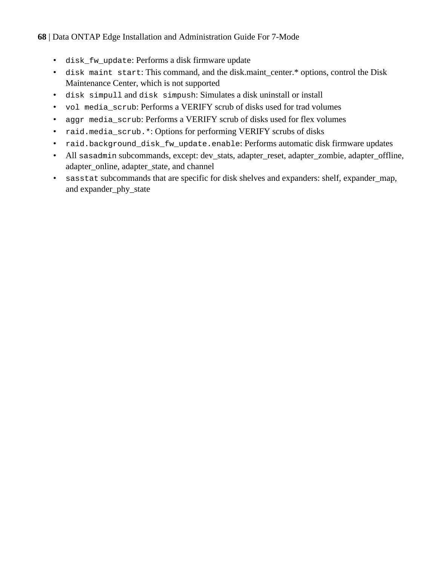- disk\_fw\_update: Performs a disk firmware update
- disk maint start: This command, and the disk maint center.\* options, control the Disk Maintenance Center, which is not supported
- disk simpull and disk simpush: Simulates a disk uninstall or install
- vol media\_scrub: Performs a VERIFY scrub of disks used for trad volumes
- aggr media\_scrub: Performs a VERIFY scrub of disks used for flex volumes
- raid.media\_scrub.\*: Options for performing VERIFY scrubs of disks
- raid.background\_disk\_fw\_update.enable: Performs automatic disk firmware updates
- All sasadmin subcommands, except: dev\_stats, adapter\_reset, adapter\_zombie, adapter\_offline, adapter online, adapter state, and channel
- sasstat subcommands that are specific for disk shelves and expanders: shelf, expander map, and expander\_phy\_state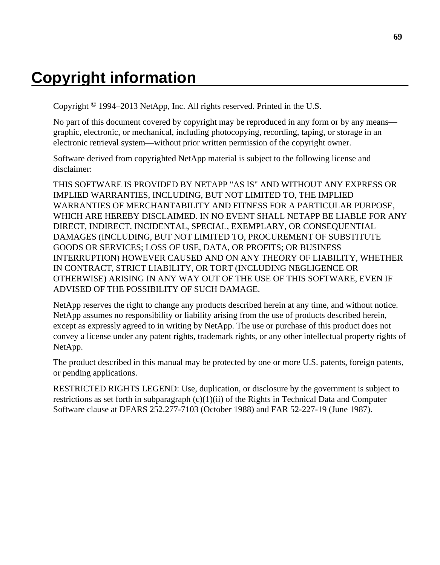# **Copyright information**

Copyright © 1994–2013 NetApp, Inc. All rights reserved. Printed in the U.S.

No part of this document covered by copyright may be reproduced in any form or by any means graphic, electronic, or mechanical, including photocopying, recording, taping, or storage in an electronic retrieval system—without prior written permission of the copyright owner.

Software derived from copyrighted NetApp material is subject to the following license and disclaimer:

THIS SOFTWARE IS PROVIDED BY NETAPP "AS IS" AND WITHOUT ANY EXPRESS OR IMPLIED WARRANTIES, INCLUDING, BUT NOT LIMITED TO, THE IMPLIED WARRANTIES OF MERCHANTABILITY AND FITNESS FOR A PARTICULAR PURPOSE, WHICH ARE HEREBY DISCLAIMED. IN NO EVENT SHALL NETAPP BE LIABLE FOR ANY DIRECT, INDIRECT, INCIDENTAL, SPECIAL, EXEMPLARY, OR CONSEQUENTIAL DAMAGES (INCLUDING, BUT NOT LIMITED TO, PROCUREMENT OF SUBSTITUTE GOODS OR SERVICES; LOSS OF USE, DATA, OR PROFITS; OR BUSINESS INTERRUPTION) HOWEVER CAUSED AND ON ANY THEORY OF LIABILITY, WHETHER IN CONTRACT, STRICT LIABILITY, OR TORT (INCLUDING NEGLIGENCE OR OTHERWISE) ARISING IN ANY WAY OUT OF THE USE OF THIS SOFTWARE, EVEN IF ADVISED OF THE POSSIBILITY OF SUCH DAMAGE.

NetApp reserves the right to change any products described herein at any time, and without notice. NetApp assumes no responsibility or liability arising from the use of products described herein, except as expressly agreed to in writing by NetApp. The use or purchase of this product does not convey a license under any patent rights, trademark rights, or any other intellectual property rights of NetApp.

The product described in this manual may be protected by one or more U.S. patents, foreign patents, or pending applications.

RESTRICTED RIGHTS LEGEND: Use, duplication, or disclosure by the government is subject to restrictions as set forth in subparagraph  $(c)(1)(ii)$  of the Rights in Technical Data and Computer Software clause at DFARS 252.277-7103 (October 1988) and FAR 52-227-19 (June 1987).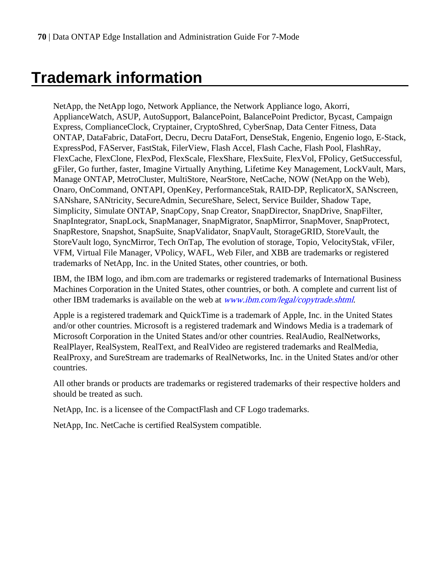# **Trademark information**

NetApp, the NetApp logo, Network Appliance, the Network Appliance logo, Akorri, ApplianceWatch, ASUP, AutoSupport, BalancePoint, BalancePoint Predictor, Bycast, Campaign Express, ComplianceClock, Cryptainer, CryptoShred, CyberSnap, Data Center Fitness, Data ONTAP, DataFabric, DataFort, Decru, Decru DataFort, DenseStak, Engenio, Engenio logo, E-Stack, ExpressPod, FAServer, FastStak, FilerView, Flash Accel, Flash Cache, Flash Pool, FlashRay, FlexCache, FlexClone, FlexPod, FlexScale, FlexShare, FlexSuite, FlexVol, FPolicy, GetSuccessful, gFiler, Go further, faster, Imagine Virtually Anything, Lifetime Key Management, LockVault, Mars, Manage ONTAP, MetroCluster, MultiStore, NearStore, NetCache, NOW (NetApp on the Web), Onaro, OnCommand, ONTAPI, OpenKey, PerformanceStak, RAID-DP, ReplicatorX, SANscreen, SANshare, SANtricity, SecureAdmin, SecureShare, Select, Service Builder, Shadow Tape, Simplicity, Simulate ONTAP, SnapCopy, Snap Creator, SnapDirector, SnapDrive, SnapFilter, SnapIntegrator, SnapLock, SnapManager, SnapMigrator, SnapMirror, SnapMover, SnapProtect, SnapRestore, Snapshot, SnapSuite, SnapValidator, SnapVault, StorageGRID, StoreVault, the StoreVault logo, SyncMirror, Tech OnTap, The evolution of storage, Topio, VelocityStak, vFiler, VFM, Virtual File Manager, VPolicy, WAFL, Web Filer, and XBB are trademarks or registered trademarks of NetApp, Inc. in the United States, other countries, or both.

IBM, the IBM logo, and ibm.com are trademarks or registered trademarks of International Business Machines Corporation in the United States, other countries, or both. A complete and current list of other IBM trademarks is available on the web at *[www.ibm.com/legal/copytrade.shtml](http://www.ibm.com/legal/copytrade.shtml).* 

Apple is a registered trademark and QuickTime is a trademark of Apple, Inc. in the United States and/or other countries. Microsoft is a registered trademark and Windows Media is a trademark of Microsoft Corporation in the United States and/or other countries. RealAudio, RealNetworks, RealPlayer, RealSystem, RealText, and RealVideo are registered trademarks and RealMedia, RealProxy, and SureStream are trademarks of RealNetworks, Inc. in the United States and/or other countries.

All other brands or products are trademarks or registered trademarks of their respective holders and should be treated as such.

NetApp, Inc. is a licensee of the CompactFlash and CF Logo trademarks.

NetApp, Inc. NetCache is certified RealSystem compatible.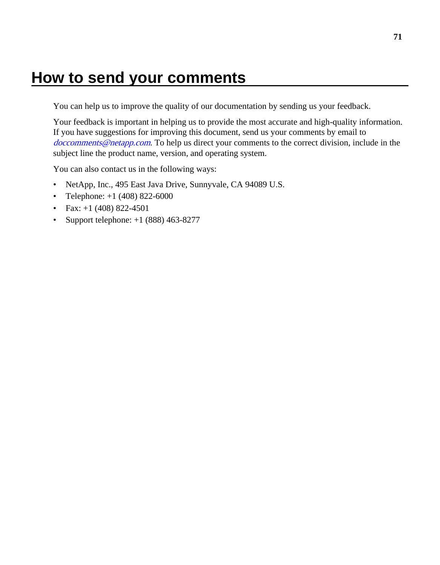## **How to send your comments**

You can help us to improve the quality of our documentation by sending us your feedback.

Your feedback is important in helping us to provide the most accurate and high-quality information. If you have suggestions for improving this document, send us your comments by email to [doccomments@netapp.com](mailto:doccomments@netapp.com). To help us direct your comments to the correct division, include in the subject line the product name, version, and operating system.

You can also contact us in the following ways:

- NetApp, Inc., 495 East Java Drive, Sunnyvale, CA 94089 U.S.
- Telephone:  $+1$  (408) 822-6000
- Fax:  $+1$  (408) 822-4501
- Support telephone:  $+1$  (888) 463-8277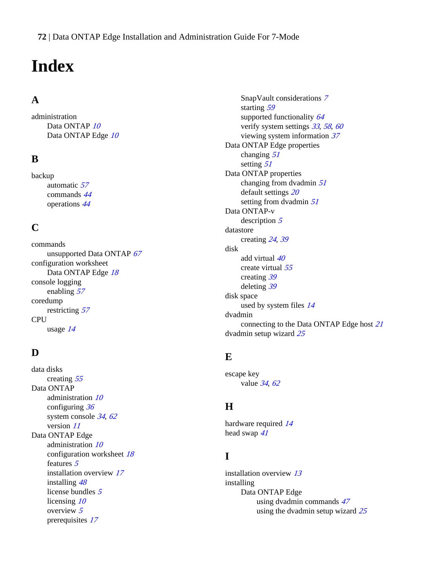# **Index**

### **A**

administration Data ONTAP [10](#page-9-0) Data ONTAP Edge [10](#page-9-0)

### **B**

backup automatic [57](#page-56-0) commands [44](#page-43-0) operations [44](#page-43-0)

### **C**

commands unsupported Data ONTAP [67](#page-66-0) configuration worksheet Data ONTAP Edge [18](#page-17-0) console logging enabling [57](#page-56-0) coredump restricting [57](#page-56-0) CPU usage [14](#page-13-0)

### **D**

data disks creating [55](#page-54-0) Data ONTAP administration [10](#page-9-0) configuring [36](#page-35-0) system console [34](#page-33-0), [62](#page-61-0) version [11](#page-10-0) Data ONTAP Edge administration [10](#page-9-0) configuration worksheet [18](#page-17-0) features [5](#page-4-0) installation overview [17](#page-16-0) installing [48](#page-47-0) license bundles [5](#page-4-0) licensing [10](#page-9-0) overview [5](#page-4-0) prerequisites [17](#page-16-0)

SnapVault considerations [7](#page-6-0) starting [59](#page-58-0) supported functionality [64](#page-63-0) verify system settings [33](#page-32-0), [58](#page-57-0), [60](#page-59-0) viewing system information [37](#page-36-0) Data ONTAP Edge properties changing [51](#page-50-0) setting [51](#page-50-0) Data ONTAP properties changing from dvadmin [51](#page-50-0) default settings [20](#page-19-0) setting from dvadmin [51](#page-50-0) Data ONTAP-v description [5](#page-4-0) datastore creating [24](#page-23-0), [39](#page-38-0) disk add virtual [40](#page-39-0) create virtual [55](#page-54-0) creating [39](#page-38-0) deleting [39](#page-38-0) disk space used by system files [14](#page-13-0) dvadmin connecting to the Data ONTAP Edge host [21](#page-20-0) dvadmin setup wizard [25](#page-24-0)

### **E**

escape key value [34](#page-33-0), [62](#page-61-0)

### **H**

hardware required [14](#page-13-0) head swap [41](#page-40-0)

### **I**

installation overview [13](#page-12-0) installing Data ONTAP Edge using dvadmin commands [47](#page-46-0) using the dvadmin setup wizard [25](#page-24-0)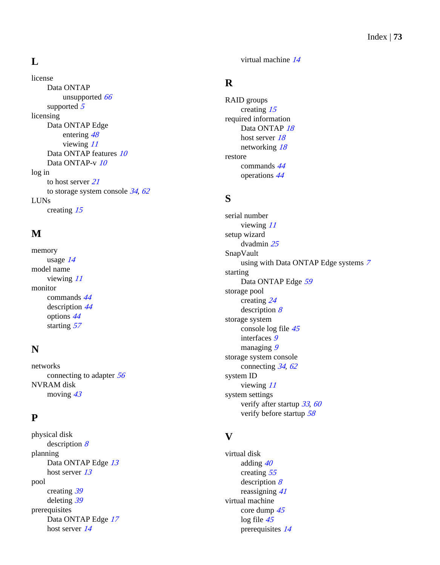## **L**

license Data ONTAP unsupported [66](#page-65-0) supported [5](#page-4-0) licensing Data ONTAP Edge entering [48](#page-47-0) viewing [11](#page-10-0) Data ONTAP features [10](#page-9-0) Data ONTAP-v [10](#page-9-0) log in to host server [21](#page-20-0) to storage system console  $34, 62$  $34, 62$  $34, 62$ LUNs creating [15](#page-14-0)

# **M**

memory usage [14](#page-13-0) model name viewing [11](#page-10-0) monitor commands [44](#page-43-0) description [44](#page-43-0) options [44](#page-43-0) starting [57](#page-56-0)

## **N**

networks connecting to adapter [56](#page-55-0) NVRAM disk moving  $43$ 

### **P**

physical disk description [8](#page-7-0) planning Data ONTAP Edge [13](#page-12-0) host server [13](#page-12-0) pool creating [39](#page-38-0) deleting [39](#page-38-0) prerequisites Data ONTAP Edge [17](#page-16-0) host server [14](#page-13-0)

virtual machine [14](#page-13-0)

## **R**

RAID groups creating [15](#page-14-0) required information Data ONTAP [18](#page-17-0) host server [18](#page-17-0) networking [18](#page-17-0) restore commands [44](#page-43-0) operations [44](#page-43-0)

### **S**

serial number viewing [11](#page-10-0) setup wizard dvadmin [25](#page-24-0) SnapVault using with Data ONTAP Edge systems [7](#page-6-0) starting Data ONTAP Edge [59](#page-58-0) storage pool creating [24](#page-23-0) description [8](#page-7-0) storage system console log file [45](#page-44-0) interfaces [9](#page-8-0) managing [9](#page-8-0) storage system console connecting [34](#page-33-0), [62](#page-61-0) system ID viewing [11](#page-10-0) system settings verify after startup [33](#page-32-0), [60](#page-59-0) verify before startup [58](#page-57-0)

### **V**

```
virtual disk
     adding 40
     creating 55
     description 
8
     reassigning 41
virtual machine
     core dump 45
     log file 45
     prerequisites 14
```